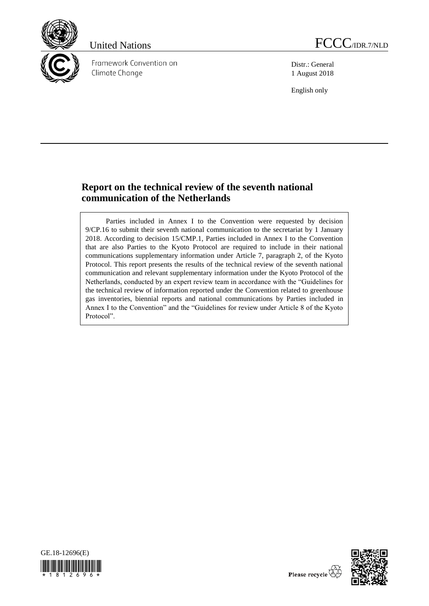

Framework Convention on Climate Change



Distr.: General 1 August 2018

English only

# **Report on the technical review of the seventh national communication of the Netherlands**

Parties included in Annex I to the Convention were requested by decision 9/CP.16 to submit their seventh national communication to the secretariat by 1 January 2018. According to decision 15/CMP.1, Parties included in Annex I to the Convention that are also Parties to the Kyoto Protocol are required to include in their national communications supplementary information under Article 7, paragraph 2, of the Kyoto Protocol. This report presents the results of the technical review of the seventh national communication and relevant supplementary information under the Kyoto Protocol of the Netherlands, conducted by an expert review team in accordance with the "Guidelines for the technical review of information reported under the Convention related to greenhouse gas inventories, biennial reports and national communications by Parties included in Annex I to the Convention" and the "Guidelines for review under Article 8 of the Kyoto Protocol".





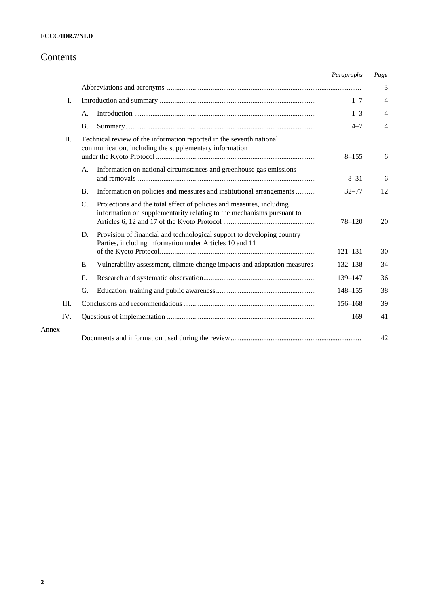# Contents

|       |                                                                                                                                | Paragraphs                                                             | Page                                                                                                                                                                                                                      |
|-------|--------------------------------------------------------------------------------------------------------------------------------|------------------------------------------------------------------------|---------------------------------------------------------------------------------------------------------------------------------------------------------------------------------------------------------------------------|
|       |                                                                                                                                |                                                                        | 3                                                                                                                                                                                                                         |
| I.    |                                                                                                                                | $1 - 7$                                                                | $\overline{4}$                                                                                                                                                                                                            |
|       | А.                                                                                                                             | $1 - 3$                                                                | 4                                                                                                                                                                                                                         |
|       | <b>B.</b>                                                                                                                      | $4 - 7$                                                                | $\overline{4}$                                                                                                                                                                                                            |
| П.    | Technical review of the information reported in the seventh national<br>communication, including the supplementary information | $8 - 155$                                                              | 6                                                                                                                                                                                                                         |
|       | Information on national circumstances and greenhouse gas emissions<br>A.                                                       | $8 - 31$                                                               | 6                                                                                                                                                                                                                         |
|       | <b>B.</b>                                                                                                                      | $32 - 77$                                                              | 12                                                                                                                                                                                                                        |
|       | C.<br>Projections and the total effect of policies and measures, including                                                     | $78 - 120$                                                             | 20                                                                                                                                                                                                                        |
|       | D.<br>Parties, including information under Articles 10 and 11                                                                  | $121 - 131$                                                            | 30                                                                                                                                                                                                                        |
|       | E.                                                                                                                             | $132 - 138$                                                            | 34                                                                                                                                                                                                                        |
|       | $F_{\cdot}$                                                                                                                    | 139-147                                                                | 36                                                                                                                                                                                                                        |
|       | G.                                                                                                                             | $148 - 155$                                                            | 38                                                                                                                                                                                                                        |
| III.  |                                                                                                                                | $156 - 168$                                                            | 39                                                                                                                                                                                                                        |
| IV.   |                                                                                                                                | 169                                                                    | 41                                                                                                                                                                                                                        |
| Annex |                                                                                                                                |                                                                        | 42                                                                                                                                                                                                                        |
|       |                                                                                                                                | Provision of financial and technological support to developing country | Information on policies and measures and institutional arrangements<br>information on supplementarity relating to the mechanisms pursuant to<br>Vulnerability assessment, climate change impacts and adaptation measures. |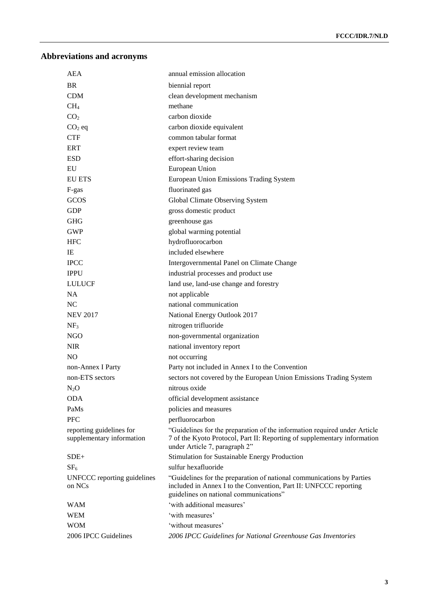# **Abbreviations and acronyms**

| <b>AEA</b>                                            | annual emission allocation                                                                                                                                                             |
|-------------------------------------------------------|----------------------------------------------------------------------------------------------------------------------------------------------------------------------------------------|
| <b>BR</b>                                             | biennial report                                                                                                                                                                        |
| <b>CDM</b>                                            | clean development mechanism                                                                                                                                                            |
| CH <sub>4</sub>                                       | methane                                                                                                                                                                                |
| CO <sub>2</sub>                                       | carbon dioxide                                                                                                                                                                         |
| $CO2$ eq                                              | carbon dioxide equivalent                                                                                                                                                              |
| <b>CTF</b>                                            | common tabular format                                                                                                                                                                  |
| ERT                                                   | expert review team                                                                                                                                                                     |
| <b>ESD</b>                                            | effort-sharing decision                                                                                                                                                                |
| EU                                                    | European Union                                                                                                                                                                         |
| EU ETS                                                | European Union Emissions Trading System                                                                                                                                                |
| F-gas                                                 | fluorinated gas                                                                                                                                                                        |
| GCOS                                                  | Global Climate Observing System                                                                                                                                                        |
| <b>GDP</b>                                            | gross domestic product                                                                                                                                                                 |
| <b>GHG</b>                                            | greenhouse gas                                                                                                                                                                         |
| <b>GWP</b>                                            | global warming potential                                                                                                                                                               |
| <b>HFC</b>                                            | hydrofluorocarbon                                                                                                                                                                      |
| IE                                                    | included elsewhere                                                                                                                                                                     |
| <b>IPCC</b>                                           | Intergovernmental Panel on Climate Change                                                                                                                                              |
| <b>IPPU</b>                                           | industrial processes and product use                                                                                                                                                   |
| <b>LULUCF</b>                                         | land use, land-use change and forestry                                                                                                                                                 |
| <b>NA</b>                                             | not applicable                                                                                                                                                                         |
| NC                                                    | national communication                                                                                                                                                                 |
| <b>NEV 2017</b>                                       | National Energy Outlook 2017                                                                                                                                                           |
| NF <sub>3</sub>                                       | nitrogen trifluoride                                                                                                                                                                   |
| <b>NGO</b>                                            | non-governmental organization                                                                                                                                                          |
| <b>NIR</b>                                            | national inventory report                                                                                                                                                              |
| N <sub>O</sub>                                        | not occurring                                                                                                                                                                          |
| non-Annex I Party                                     | Party not included in Annex I to the Convention                                                                                                                                        |
| non-ETS sectors                                       | sectors not covered by the European Union Emissions Trading System                                                                                                                     |
| $N_2O$                                                | nitrous oxide                                                                                                                                                                          |
| <b>ODA</b>                                            | official development assistance                                                                                                                                                        |
| PaMs                                                  | policies and measures                                                                                                                                                                  |
| <b>PFC</b>                                            | perfluorocarbon                                                                                                                                                                        |
| reporting guidelines for<br>supplementary information | "Guidelines for the preparation of the information required under Article<br>7 of the Kyoto Protocol, Part II: Reporting of supplementary information<br>under Article 7, paragraph 2" |
| $SDE+$                                                | Stimulation for Sustainable Energy Production                                                                                                                                          |
| SF <sub>6</sub>                                       | sulfur hexafluoride                                                                                                                                                                    |
| UNFCCC reporting guidelines<br>on NCs                 | "Guidelines for the preparation of national communications by Parties<br>included in Annex I to the Convention, Part II: UNFCCC reporting<br>guidelines on national communications"    |
| <b>WAM</b>                                            | 'with additional measures'                                                                                                                                                             |
| <b>WEM</b>                                            | 'with measures'                                                                                                                                                                        |
| <b>WOM</b>                                            | 'without measures'                                                                                                                                                                     |
| 2006 IPCC Guidelines                                  | 2006 IPCC Guidelines for National Greenhouse Gas Inventories                                                                                                                           |
|                                                       |                                                                                                                                                                                        |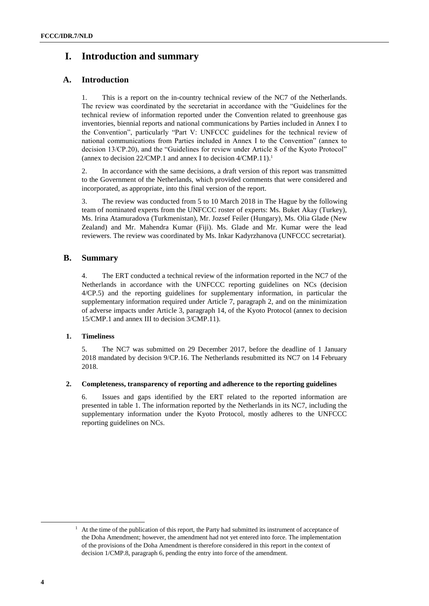# **I. Introduction and summary**

## **A. Introduction**

1. This is a report on the in-country technical review of the NC7 of the Netherlands. The review was coordinated by the secretariat in accordance with the "Guidelines for the technical review of information reported under the Convention related to greenhouse gas inventories, biennial reports and national communications by Parties included in Annex I to the Convention", particularly "Part V: UNFCCC guidelines for the technical review of national communications from Parties included in Annex I to the Convention" (annex to decision 13/CP.20), and the "Guidelines for review under Article 8 of the Kyoto Protocol" (annex to decision 22/CMP.1 and annex I to decision 4/CMP.11).<sup>1</sup>

2. In accordance with the same decisions, a draft version of this report was transmitted to the Government of the Netherlands, which provided comments that were considered and incorporated, as appropriate, into this final version of the report.

3. The review was conducted from 5 to 10 March 2018 in The Hague by the following team of nominated experts from the UNFCCC roster of experts: Ms. Buket Akay (Turkey), Ms. Irina Atamuradova (Turkmenistan), Mr. Jozsef Feiler (Hungary), Ms. Olia Glade (New Zealand) and Mr. Mahendra Kumar (Fiji). Ms. Glade and Mr. Kumar were the lead reviewers. The review was coordinated by Ms. Inkar Kadyrzhanova (UNFCCC secretariat).

## **B. Summary**

4. The ERT conducted a technical review of the information reported in the NC7 of the Netherlands in accordance with the UNFCCC reporting guidelines on NCs (decision 4/CP.5) and the reporting guidelines for supplementary information, in particular the supplementary information required under Article 7, paragraph 2, and on the minimization of adverse impacts under Article 3, paragraph 14, of the Kyoto Protocol (annex to decision 15/CMP.1 and annex III to decision 3/CMP.11).

## **1. Timeliness**

5. The NC7 was submitted on 29 December 2017, before the deadline of 1 January 2018 mandated by decision 9/CP.16. The Netherlands resubmitted its NC7 on 14 February 2018.

## **2. Completeness, transparency of reporting and adherence to the reporting guidelines**

6. Issues and gaps identified by the ERT related to the reported information are presented in table 1. The information reported by the Netherlands in its NC7, including the supplementary information under the Kyoto Protocol, mostly adheres to the UNFCCC reporting guidelines on NCs.

1

 $<sup>1</sup>$  At the time of the publication of this report, the Party had submitted its instrument of acceptance of</sup> the Doha Amendment; however, the amendment had not yet entered into force. The implementation of the provisions of the Doha Amendment is therefore considered in this report in the context of decision 1/CMP.8, paragraph 6, pending the entry into force of the amendment.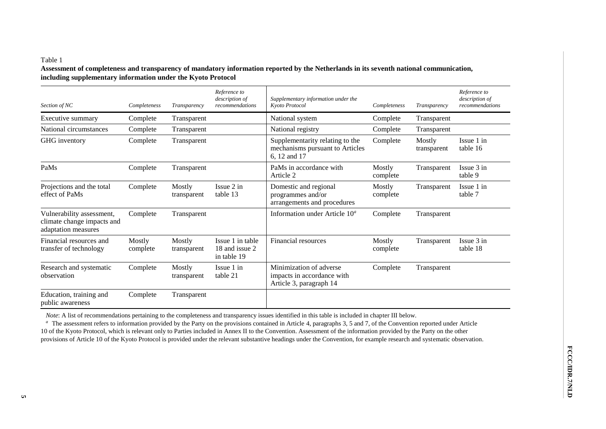## Table 1

**Assessment of completeness and transparency of mandatory information reported by the Netherlands in its seventh national communication, including supplementary information under the Kyoto Protocol** 

| Section of NC                                                                  | Completeness       | Transparency          | Reference to<br>description of<br>recommendations | Supplementary information under the<br>Kyoto Protocol                              | Completeness       | Transparency          | Reference to<br>description of<br>recommendations |
|--------------------------------------------------------------------------------|--------------------|-----------------------|---------------------------------------------------|------------------------------------------------------------------------------------|--------------------|-----------------------|---------------------------------------------------|
| Executive summary                                                              | Complete           | Transparent           |                                                   | National system                                                                    | Complete           | Transparent           |                                                   |
| National circumstances                                                         | Complete           | Transparent           |                                                   | National registry                                                                  | Complete           | Transparent           |                                                   |
| GHG inventory                                                                  | Complete           | Transparent           |                                                   | Supplementarity relating to the<br>mechanisms pursuant to Articles<br>6, 12 and 17 | Complete           | Mostly<br>transparent | Issue 1 in<br>table 16                            |
| PaMs                                                                           | Complete           | Transparent           |                                                   | PaMs in accordance with<br>Article 2                                               | Mostly<br>complete | Transparent           | Issue 3 in<br>table 9                             |
| Projections and the total<br>effect of PaMs                                    | Complete           | Mostly<br>transparent | $I$ ssue $2$ in<br>table 13                       | Domestic and regional<br>programmes and/or<br>arrangements and procedures          | Mostly<br>complete | Transparent           | Issue 1 in<br>table 7                             |
| Vulnerability assessment,<br>climate change impacts and<br>adaptation measures | Complete           | Transparent           |                                                   | Information under Article $10^a$                                                   | Complete           | Transparent           |                                                   |
| Financial resources and<br>transfer of technology                              | Mostly<br>complete | Mostly<br>transparent | Issue 1 in table<br>18 and issue 2<br>in table 19 | Financial resources                                                                | Mostly<br>complete | Transparent           | Issue 3 in<br>table 18                            |
| Research and systematic<br>observation                                         | Complete           | Mostly<br>transparent | Issue 1 in<br>table 21                            | Minimization of adverse<br>impacts in accordance with<br>Article 3, paragraph 14   | Complete           | Transparent           |                                                   |
| Education, training and<br>public awareness                                    | Complete           | Transparent           |                                                   |                                                                                    |                    |                       |                                                   |

*Note*: A list of recommendations pertaining to the completeness and transparency issues identified in this table is included in chapter III below.

<sup>a</sup> The assessment refers to information provided by the Party on the provisions contained in Article 4, paragraphs 3, 5 and 7, of the Convention reported under Article 10 of the Kyoto Protocol, which is relevant only to Parties included in Annex II to the Convention. Assessment of the information provided by the Party on the other provisions of Article 10 of the Kyoto Protocol is provided under the relevant substantive headings under the Convention, for example research and systematic observation.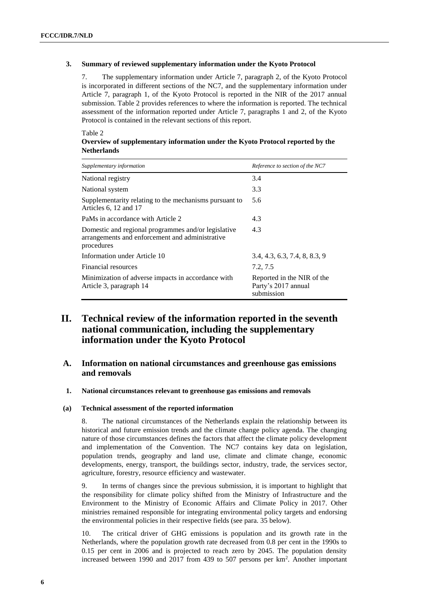#### **3. Summary of reviewed supplementary information under the Kyoto Protocol**

7. The supplementary information under Article 7, paragraph 2, of the Kyoto Protocol is incorporated in different sections of the NC7, and the supplementary information under Article 7, paragraph 1, of the Kyoto Protocol is reported in the NIR of the 2017 annual submission. Table 2 provides references to where the information is reported. The technical assessment of the information reported under Article 7, paragraphs 1 and 2, of the Kyoto Protocol is contained in the relevant sections of this report.

#### Table 2

| Overview of supplementary information under the Kyoto Protocol reported by the |  |  |
|--------------------------------------------------------------------------------|--|--|
| <b>Netherlands</b>                                                             |  |  |

| Supplementary information                                                                                            | Reference to section of the NC7                                 |
|----------------------------------------------------------------------------------------------------------------------|-----------------------------------------------------------------|
| National registry                                                                                                    | 3.4                                                             |
| National system                                                                                                      | 3.3                                                             |
| Supplementarity relating to the mechanisms pursuant to<br>Articles 6, 12 and 17                                      | 5.6                                                             |
| PaMs in accordance with Article 2                                                                                    | 4.3                                                             |
| Domestic and regional programmes and/or legislative<br>arrangements and enforcement and administrative<br>procedures | 4.3                                                             |
| Information under Article 10                                                                                         | 3.4, 4.3, 6.3, 7.4, 8, 8.3, 9                                   |
| Financial resources                                                                                                  | 7.2, 7.5                                                        |
| Minimization of adverse impacts in accordance with<br>Article 3, paragraph 14                                        | Reported in the NIR of the<br>Party's 2017 annual<br>submission |

## **II. Technical review of the information reported in the seventh national communication, including the supplementary information under the Kyoto Protocol**

## **A. Information on national circumstances and greenhouse gas emissions and removals**

#### **1. National circumstances relevant to greenhouse gas emissions and removals**

#### **(a) Technical assessment of the reported information**

8. The national circumstances of the Netherlands explain the relationship between its historical and future emission trends and the climate change policy agenda. The changing nature of those circumstances defines the factors that affect the climate policy development and implementation of the Convention. The NC7 contains key data on legislation, population trends, geography and land use, climate and climate change, economic developments, energy, transport, the buildings sector, industry, trade, the services sector, agriculture, forestry, resource efficiency and wastewater.

9. In terms of changes since the previous submission, it is important to highlight that the responsibility for climate policy shifted from the Ministry of Infrastructure and the Environment to the Ministry of Economic Affairs and Climate Policy in 2017. Other ministries remained responsible for integrating environmental policy targets and endorsing the environmental policies in their respective fields (see para. 35 below).

10. The critical driver of GHG emissions is population and its growth rate in the Netherlands, where the population growth rate decreased from 0.8 per cent in the 1990s to 0.15 per cent in 2006 and is projected to reach zero by 2045. The population density increased between 1990 and 2017 from 439 to 507 persons per km<sup>2</sup> . Another important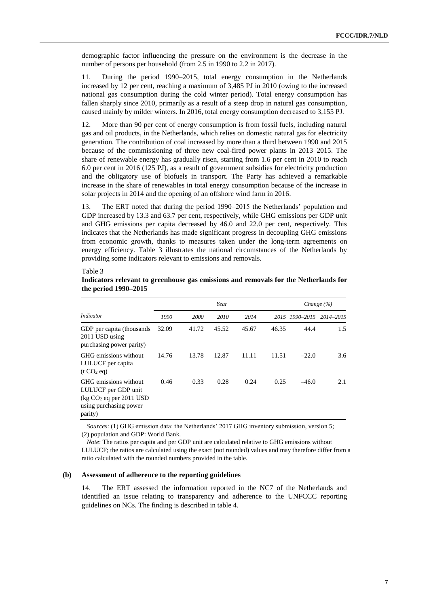demographic factor influencing the pressure on the environment is the decrease in the number of persons per household (from 2.5 in 1990 to 2.2 in 2017).

11. During the period 1990–2015, total energy consumption in the Netherlands increased by 12 per cent, reaching a maximum of 3,485 PJ in 2010 (owing to the increased national gas consumption during the cold winter period). Total energy consumption has fallen sharply since 2010, primarily as a result of a steep drop in natural gas consumption, caused mainly by milder winters. In 2016, total energy consumption decreased to 3,155 PJ.

12. More than 90 per cent of energy consumption is from fossil fuels, including natural gas and oil products, in the Netherlands, which relies on domestic natural gas for electricity generation. The contribution of coal increased by more than a third between 1990 and 2015 because of the commissioning of three new coal-fired power plants in 2013–2015. The share of renewable energy has gradually risen, starting from 1.6 per cent in 2010 to reach 6.0 per cent in 2016 (125 PJ), as a result of government subsidies for electricity production and the obligatory use of biofuels in transport. The Party has achieved a remarkable increase in the share of renewables in total energy consumption because of the increase in solar projects in 2014 and the opening of an offshore wind farm in 2016.

13. The ERT noted that during the period 1990–2015 the Netherlands' population and GDP increased by 13.3 and 63.7 per cent, respectively, while GHG emissions per GDP unit and GHG emissions per capita decreased by 46.0 and 22.0 per cent, respectively. This indicates that the Netherlands has made significant progress in decoupling GHG emissions from economic growth, thanks to measures taken under the long-term agreements on energy efficiency. Table 3 illustrates the national circumstances of the Netherlands by providing some indicators relevant to emissions and removals.

#### Table 3

|                                                                                                                  | Year                |       |       |       |       |                          | Change $(\% )$ |  |  |
|------------------------------------------------------------------------------------------------------------------|---------------------|-------|-------|-------|-------|--------------------------|----------------|--|--|
| Indicator                                                                                                        | 1990<br><b>2000</b> |       | 2010  | 2014  |       | 2015 1990-2015 2014-2015 |                |  |  |
| GDP per capita (thousands)<br>2011 USD using<br>purchasing power parity)                                         | 32.09               | 41.72 | 45.52 | 45.67 | 46.35 | 44.4                     | 1.5            |  |  |
| GHG emissions without<br>LULUCF per capita<br>(t CO <sub>2</sub> eq)                                             | 14.76               | 13.78 | 12.87 | 11.11 | 11.51 | $-22.0$                  | 3.6            |  |  |
| GHG emissions without<br>LULUCF per GDP unit<br>$\log CO_2$ eq per 2011 USD<br>using purchasing power<br>parity) | 0.46                | 0.33  | 0.28  | 0.24  | 0.25  | $-46.0$                  | 2.1            |  |  |

### **Indicators relevant to greenhouse gas emissions and removals for the Netherlands for the period 1990–2015**

*Sources*: (1) GHG emission data: the Netherlands' 2017 GHG inventory submission, version 5; (2) population and GDP: World Bank.

*Note*: The ratios per capita and per GDP unit are calculated relative to GHG emissions without LULUCF; the ratios are calculated using the exact (not rounded) values and may therefore differ from a ratio calculated with the rounded numbers provided in the table.

#### **(b) Assessment of adherence to the reporting guidelines**

14. The ERT assessed the information reported in the NC7 of the Netherlands and identified an issue relating to transparency and adherence to the UNFCCC reporting guidelines on NCs. The finding is described in table 4.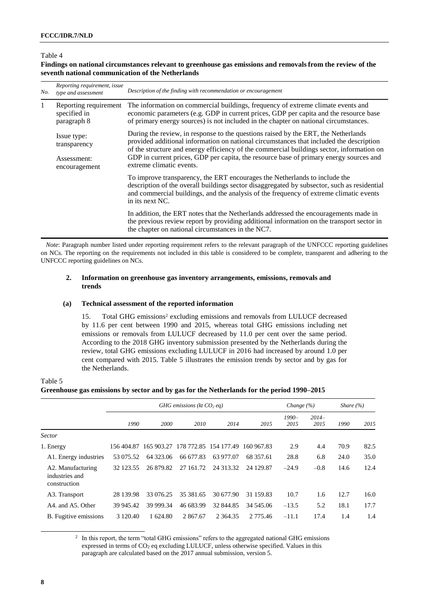### Table 4

#### **Findings on national circumstances relevant to greenhouse gas emissions and removals from the review of the seventh national communication of the Netherlands**

| No.          | Reporting requirement, issue<br>type and assessment  | Description of the finding with recommendation or encouragement                                                                                                                                                                                                                                                                                                      |  |  |  |
|--------------|------------------------------------------------------|----------------------------------------------------------------------------------------------------------------------------------------------------------------------------------------------------------------------------------------------------------------------------------------------------------------------------------------------------------------------|--|--|--|
| $\mathbf{1}$ | Reporting requirement<br>specified in<br>paragraph 8 | The information on commercial buildings, frequency of extreme climate events and<br>economic parameters (e.g. GDP in current prices, GDP per capita and the resource base<br>of primary energy sources) is not included in the chapter on national circumstances.                                                                                                    |  |  |  |
|              | Issue type:<br>transparency<br>Assessment:           | During the review, in response to the questions raised by the ERT, the Netherlands<br>provided additional information on national circumstances that included the description<br>of the structure and energy efficiency of the commercial buildings sector, information on<br>GDP in current prices, GDP per capita, the resource base of primary energy sources and |  |  |  |
|              | encouragement                                        | extreme climatic events.                                                                                                                                                                                                                                                                                                                                             |  |  |  |
|              |                                                      | To improve transparency, the ERT encourages the Netherlands to include the<br>description of the overall buildings sector disaggregated by subsector, such as residential<br>and commercial buildings, and the analysis of the frequency of extreme climatic events<br>in its next NC.                                                                               |  |  |  |
|              |                                                      | In addition, the ERT notes that the Netherlands addressed the encouragements made in<br>the previous review report by providing additional information on the transport sector in<br>the chapter on national circumstances in the NC7.                                                                                                                               |  |  |  |

*Note*: Paragraph number listed under reporting requirement refers to the relevant paragraph of the UNFCCC reporting guidelines on NCs. The reporting on the requirements not included in this table is considered to be complete, transparent and adhering to the UNFCCC reporting guidelines on NCs.

#### **2. Information on greenhouse gas inventory arrangements, emissions, removals and trends**

#### **(a) Technical assessment of the reported information**

15. Total GHG emissions<sup>2</sup> excluding emissions and removals from LULUCF decreased by 11.6 per cent between 1990 and 2015, whereas total GHG emissions including net emissions or removals from LULUCF decreased by 11.0 per cent over the same period. According to the 2018 GHG inventory submission presented by the Netherlands during the review, total GHG emissions excluding LULUCF in 2016 had increased by around 1.0 per cent compared with 2015. Table 5 illustrates the emission trends by sector and by gas for the Netherlands.

## Table 5 **Greenhouse gas emissions by sector and by gas for the Netherlands for the period 1990–2015**

|                                                     |               | GHG emissions ( $kt CO$ , eq) |           |                       |            |                 | Change $(\% )$  |      | Share $(\% )$ |  |
|-----------------------------------------------------|---------------|-------------------------------|-----------|-----------------------|------------|-----------------|-----------------|------|---------------|--|
|                                                     | 1990          | 2000                          | 2010      | 2014                  | 2015       | $1990-$<br>2015 | $2014-$<br>2015 | 1990 | 2015          |  |
| <b>Sector</b>                                       |               |                               |           |                       |            |                 |                 |      |               |  |
| 1. Energy                                           | 156 404.87    | 165 903.27                    |           | 178 772.85 154 177.49 | 160 967.83 | 2.9             | 4.4             | 70.9 | 82.5          |  |
| A1. Energy industries                               | 53 075.52     | 64 323.06                     | 66 677.83 | 63 977.07             | 68 357.61  | 28.8            | 6.8             | 24.0 | 35.0          |  |
| A2. Manufacturing<br>industries and<br>construction | 32 123.55     | 26 879.82                     | 27 161.72 | 24 313.32             | 24 129.87  | $-24.9$         | $-0.8$          | 14.6 | 12.4          |  |
| A3. Transport                                       | 28 139.98     | 33 076.25                     | 35 381.65 | 30 677.90             | 31 159.83  | 10.7            | 1.6             | 12.7 | 16.0          |  |
| A4. and A5. Other                                   | 39 945.42     | 39 999.34                     | 46 683.99 | 32 844.85             | 34 545.06  | $-13.5$         | 5.2             | 18.1 | 17.7          |  |
| B. Fugitive emissions                               | 3 1 2 0 . 4 0 | 1 624.80                      | 2 867.67  | 2 3 6 4 . 3 5         | 2 775.46   | $-11.1$         | 17.4            | 1.4  | 1.4           |  |

<sup>2</sup> In this report, the term "total GHG emissions" refers to the aggregated national GHG emissions expressed in terms of CO<sup>2</sup> eq excluding LULUCF, unless otherwise specified. Values in this paragraph are calculated based on the 2017 annual submission, version 5.

-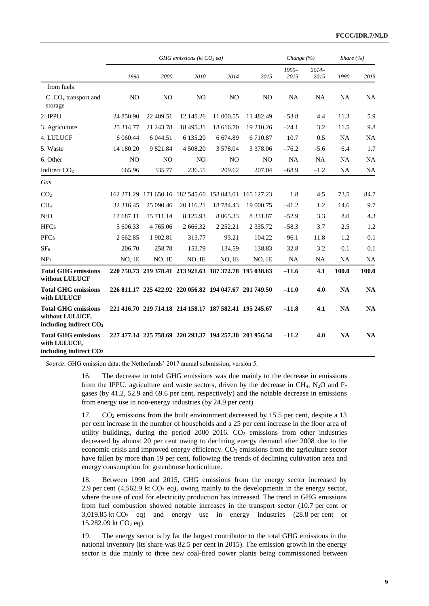|                                                                                     |                | GHG emissions (kt $CO2$ eq)                            |                |                |                |               | Change $(\% )$  | Share $(\% )$ |           |
|-------------------------------------------------------------------------------------|----------------|--------------------------------------------------------|----------------|----------------|----------------|---------------|-----------------|---------------|-----------|
|                                                                                     | 1990           | 2000                                                   | 2010           | 2014           | 2015           | 1990-<br>2015 | $2014-$<br>2015 | 1990          | 2015      |
| from fuels                                                                          |                |                                                        |                |                |                |               |                 |               |           |
| C. CO <sub>2</sub> transport and<br>storage                                         | N <sub>O</sub> | N <sub>O</sub>                                         | N <sub>O</sub> | N <sub>O</sub> | N <sub>O</sub> | NA            | NA              | NA            | <b>NA</b> |
| 2. IPPU                                                                             | 24 850.90      | 22 409.51                                              | 12 145.26      | 11 000.55      | 11 482.49      | $-53.8$       | 4.4             | 11.3          | 5.9       |
| 3. Agriculture                                                                      | 25 314.77      | 21 243.78                                              | 18 495.31      | 18 616.70      | 19 210.26      | $-24.1$       | 3.2             | 11.5          | 9.8       |
| 4. LULUCF                                                                           | 6 0 6 0.44     | 6 044.51                                               | 6 135.20       | 6 6 7 4.89     | 6 710.87       | 10.7          | 0.5             | <b>NA</b>     | <b>NA</b> |
| 5. Waste                                                                            | 14 180.20      | 9 821.84                                               | 4 508.20       | 3 578.04       | 3 3 7 8 .0 6   | $-76.2$       | $-5.6$          | 6.4           | 1.7       |
| 6. Other                                                                            | N <sub>O</sub> | N <sub>O</sub>                                         | N <sub>O</sub> | N <sub>O</sub> | N <sub>O</sub> | <b>NA</b>     | <b>NA</b>       | <b>NA</b>     | <b>NA</b> |
| Indirect CO <sub>2</sub>                                                            | 665.96         | 335.77                                                 | 236.55         | 209.62         | 207.04         | $-68.9$       | $-1.2$          | <b>NA</b>     | <b>NA</b> |
| Gas                                                                                 |                |                                                        |                |                |                |               |                 |               |           |
| CO <sub>2</sub>                                                                     |                | 162 271.29 171 650.16 182 545.60 158 043.01 165 127.23 |                |                |                | 1.8           | 4.5             | 73.5          | 84.7      |
| CH <sub>4</sub>                                                                     | 32 316.45      | 25 090.46                                              | 20 116.21      | 18 784.43      | 19 000.75      | $-41.2$       | 1.2             | 14.6          | 9.7       |
| $N_2O$                                                                              | 17 687.11      | 15 711.14                                              | 8 1 2 5 . 9 3  | 8 0 6 5 . 3 3  | 8 3 3 1 . 8 7  | $-52.9$       | 3.3             | 8.0           | 4.3       |
| <b>HFCs</b>                                                                         | 5 606.33       | 4 7 6 5 .0 6                                           | 2 666.32       | 2 2 5 2 . 2 1  | 2 3 3 5 .72    | $-58.3$       | 3.7             | 2.5           | 1.2       |
| <b>PFCs</b>                                                                         | 2 662.85       | 1902.81                                                | 313.77         | 93.21          | 104.22         | $-96.1$       | 11.8            | 1.2           | 0.1       |
| SF <sub>6</sub>                                                                     | 206.70         | 258.78                                                 | 153.79         | 134.59         | 138.83         | $-32.8$       | 3.2             | 0.1           | 0.1       |
| NF <sub>3</sub>                                                                     | NO, IE         | NO, IE                                                 | NO, IE         | NO, IE         | NO, IE         | <b>NA</b>     | NA              | <b>NA</b>     | <b>NA</b> |
| <b>Total GHG emissions</b><br>without LULUCF                                        |                | 220 750.73 219 378.41 213 921.63 187 372.78 195 038.63 |                |                |                | $-11.6$       | 4.1             | 100.0         | 100.0     |
| <b>Total GHG emissions</b><br>with LULUCF                                           |                | 226 811.17 225 422.92 220 056.82 194 047.67 201 749.50 |                |                |                | $-11.0$       | 4.0             | <b>NA</b>     | <b>NA</b> |
| <b>Total GHG emissions</b><br>without LULUCF,<br>including indirect CO <sub>2</sub> |                | 221 416.70 219 714.18 214 158.17 187 582.41 195 245.67 |                |                |                | $-11.8$       | 4.1             | <b>NA</b>     | <b>NA</b> |
| <b>Total GHG emissions</b><br>with LULUCF,<br>including indirect CO <sub>2</sub>    |                | 227 477.14 225 758.69 220 293.37 194 257.30 201 956.54 |                |                |                | $-11.2$       | 4.0             | <b>NA</b>     | <b>NA</b> |

*Source*: GHG emission data: the Netherlands' 2017 annual submission, version 5.

16. The decrease in total GHG emissions was due mainly to the decrease in emissions from the IPPU, agriculture and waste sectors, driven by the decrease in  $CH<sub>4</sub>$ , N<sub>2</sub>O and Fgases (by 41.2, 52.9 and 69.6 per cent, respectively) and the notable decrease in emissions from energy use in non-energy industries (by 24.9 per cent).

17. CO<sub>2</sub> emissions from the built environment decreased by 15.5 per cent, despite a 13 per cent increase in the number of households and a 25 per cent increase in the floor area of utility buildings, during the period  $2000-2016$ .  $CO<sub>2</sub>$  emissions from other industries decreased by almost 20 per cent owing to declining energy demand after 2008 due to the economic crisis and improved energy efficiency.  $CO<sub>2</sub>$  emissions from the agriculture sector have fallen by more than 19 per cent, following the trends of declining cultivation area and energy consumption for greenhouse horticulture.

18. Between 1990 and 2015, GHG emissions from the energy sector increased by 2.9 per cent (4,562.9 kt  $CO<sub>2</sub>$  eq), owing mainly to the developments in the energy sector, where the use of coal for electricity production has increased. The trend in GHG emissions from fuel combustion showed notable increases in the transport sector (10.7 per cent or 3,019.85 kt  $CO<sub>2</sub>$  eq) and energy use in energy industries (28.8 per cent or 15,282.09 kt  $CO<sub>2</sub>$  eq).

19. The energy sector is by far the largest contributor to the total GHG emissions in the national inventory (its share was 82.5 per cent in 2015). The emission growth in the energy sector is due mainly to three new coal-fired power plants being commissioned between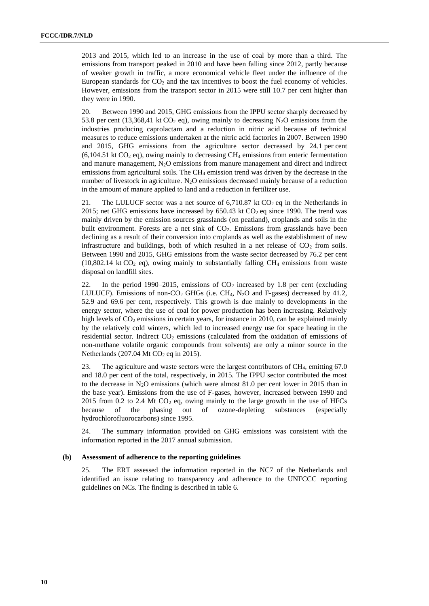2013 and 2015, which led to an increase in the use of coal by more than a third. The emissions from transport peaked in 2010 and have been falling since 2012, partly because of weaker growth in traffic, a more economical vehicle fleet under the influence of the European standards for  $CO<sub>2</sub>$  and the tax incentives to boost the fuel economy of vehicles. However, emissions from the transport sector in 2015 were still 10.7 per cent higher than they were in 1990.

20. Between 1990 and 2015, GHG emissions from the IPPU sector sharply decreased by 53.8 per cent (13,368,41 kt  $CO<sub>2</sub>$  eq), owing mainly to decreasing N<sub>2</sub>O emissions from the industries producing caprolactam and a reduction in nitric acid because of technical measures to reduce emissions undertaken at the nitric acid factories in 2007. Between 1990 and 2015, GHG emissions from the agriculture sector decreased by 24.1 per cent  $(6,104.51 \text{ kt CO}_2 \text{ eq})$ , owing mainly to decreasing CH<sub>4</sub> emissions from enteric fermentation and manure management,  $N_2O$  emissions from manure management and direct and indirect emissions from agricultural soils. The  $CH_4$  emission trend was driven by the decrease in the number of livestock in agriculture.  $N_2O$  emissions decreased mainly because of a reduction in the amount of manure applied to land and a reduction in fertilizer use.

21. The LULUCF sector was a net source of  $6,710.87$  kt  $CO<sub>2</sub>$  eq in the Netherlands in 2015; net GHG emissions have increased by  $650.43$  kt  $CO<sub>2</sub>$  eq since 1990. The trend was mainly driven by the emission sources grasslands (on peatland), croplands and soils in the built environment. Forests are a net sink of  $CO<sub>2</sub>$ . Emissions from grasslands have been declining as a result of their conversion into croplands as well as the establishment of new infrastructure and buildings, both of which resulted in a net release of  $CO<sub>2</sub>$  from soils. Between 1990 and 2015, GHG emissions from the waste sector decreased by 76.2 per cent (10,802.14 kt CO<sub>2</sub> eq), owing mainly to substantially falling CH<sub>4</sub> emissions from waste disposal on landfill sites.

22. In the period 1990–2015, emissions of  $CO<sub>2</sub>$  increased by 1.8 per cent (excluding LULUCF). Emissions of non-CO<sub>2</sub> GHGs (i.e. CH<sub>4</sub>, N<sub>2</sub>O and F-gases) decreased by 41.2, 52.9 and 69.6 per cent, respectively. This growth is due mainly to developments in the energy sector, where the use of coal for power production has been increasing. Relatively high levels of  $CO<sub>2</sub>$  emissions in certain years, for instance in 2010, can be explained mainly by the relatively cold winters, which led to increased energy use for space heating in the residential sector. Indirect  $CO<sub>2</sub>$  emissions (calculated from the oxidation of emissions of non-methane volatile organic compounds from solvents) are only a minor source in the Netherlands (207.04 Mt  $CO<sub>2</sub>$  eq in 2015).

23. The agriculture and waste sectors were the largest contributors of CH4, emitting 67.0 and 18.0 per cent of the total, respectively, in 2015. The IPPU sector contributed the most to the decrease in N<sub>2</sub>O emissions (which were almost 81.0 per cent lower in 2015 than in the base year). Emissions from the use of F-gases, however, increased between 1990 and 2015 from 0.2 to 2.4 Mt  $CO<sub>2</sub>$  eq, owing mainly to the large growth in the use of HFCs because of the phasing out of ozone-depleting substances (especially hydrochlorofluorocarbons) since 1995.

24. The summary information provided on GHG emissions was consistent with the information reported in the 2017 annual submission.

#### **(b) Assessment of adherence to the reporting guidelines**

25. The ERT assessed the information reported in the NC7 of the Netherlands and identified an issue relating to transparency and adherence to the UNFCCC reporting guidelines on NCs. The finding is described in table 6.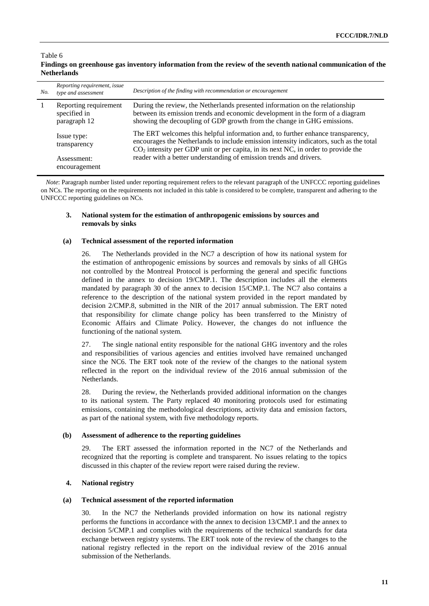#### Table 6 **Findings on greenhouse gas inventory information from the review of the seventh national communication of the Netherlands**

| No. | Reporting requirement, issue<br>type and assessment   | Description of the finding with recommendation or encouragement                                                                                                                                                                                                  |
|-----|-------------------------------------------------------|------------------------------------------------------------------------------------------------------------------------------------------------------------------------------------------------------------------------------------------------------------------|
| -1  | Reporting requirement<br>specified in<br>paragraph 12 | During the review, the Netherlands presented information on the relationship<br>between its emission trends and economic development in the form of a diagram<br>showing the decoupling of GDP growth from the change in GHG emissions.                          |
|     | Issue type:<br>transparency                           | The ERT welcomes this helpful information and, to further enhance transparency,<br>encourages the Netherlands to include emission intensity indicators, such as the total<br>$CO2$ intensity per GDP unit or per capita, in its next NC, in order to provide the |
|     | Assessment:<br>encouragement                          | reader with a better understanding of emission trends and drivers.                                                                                                                                                                                               |

*Note*: Paragraph number listed under reporting requirement refers to the relevant paragraph of the UNFCCC reporting guidelines on NCs. The reporting on the requirements not included in this table is considered to be complete, transparent and adhering to the UNFCCC reporting guidelines on NCs.

## **3. National system for the estimation of anthropogenic emissions by sources and removals by sinks**

## **(a) Technical assessment of the reported information**

26. The Netherlands provided in the NC7 a description of how its national system for the estimation of anthropogenic emissions by sources and removals by sinks of all GHGs not controlled by the Montreal Protocol is performing the general and specific functions defined in the annex to decision 19/CMP.1. The description includes all the elements mandated by paragraph 30 of the annex to decision 15/CMP.1. The NC7 also contains a reference to the description of the national system provided in the report mandated by decision 2/CMP.8, submitted in the NIR of the 2017 annual submission. The ERT noted that responsibility for climate change policy has been transferred to the Ministry of Economic Affairs and Climate Policy. However, the changes do not influence the functioning of the national system.

27. The single national entity responsible for the national GHG inventory and the roles and responsibilities of various agencies and entities involved have remained unchanged since the NC6. The ERT took note of the review of the changes to the national system reflected in the report on the individual review of the 2016 annual submission of the Netherlands.

28. During the review, the Netherlands provided additional information on the changes to its national system. The Party replaced 40 monitoring protocols used for estimating emissions, containing the methodological descriptions, activity data and emission factors, as part of the national system, with five methodology reports.

## **(b) Assessment of adherence to the reporting guidelines**

29. The ERT assessed the information reported in the NC7 of the Netherlands and recognized that the reporting is complete and transparent. No issues relating to the topics discussed in this chapter of the review report were raised during the review.

## **4. National registry**

## **(a) Technical assessment of the reported information**

In the NC7 the Netherlands provided information on how its national registry performs the functions in accordance with the annex to decision 13/CMP.1 and the annex to decision 5/CMP.1 and complies with the requirements of the technical standards for data exchange between registry systems. The ERT took note of the review of the changes to the national registry reflected in the report on the individual review of the 2016 annual submission of the Netherlands.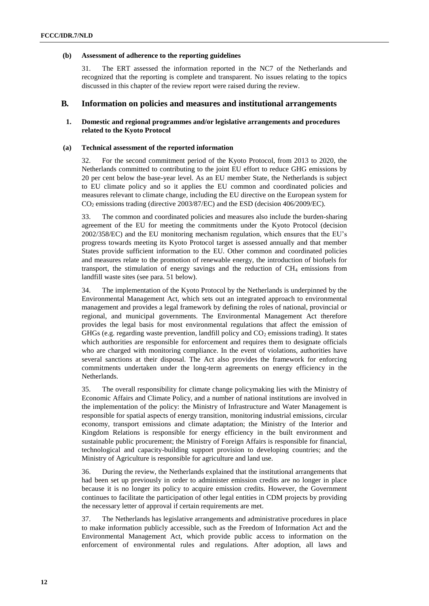#### **(b) Assessment of adherence to the reporting guidelines**

31. The ERT assessed the information reported in the NC7 of the Netherlands and recognized that the reporting is complete and transparent. No issues relating to the topics discussed in this chapter of the review report were raised during the review.

## **B***.* **Information on policies and measures and institutional arrangements**

## **1. Domestic and regional programmes and/or legislative arrangements and procedures related to the Kyoto Protocol**

#### **(a) Technical assessment of the reported information**

32. For the second commitment period of the Kyoto Protocol, from 2013 to 2020, the Netherlands committed to contributing to the joint EU effort to reduce GHG emissions by 20 per cent below the base-year level. As an EU member State, the Netherlands is subject to EU climate policy and so it applies the EU common and coordinated policies and measures relevant to climate change, including the EU directive on the European system for CO<sup>2</sup> emissions trading (directive 2003/87/EC) and the ESD (decision 406/2009/EC).

33. The common and coordinated policies and measures also include the burden-sharing agreement of the EU for meeting the commitments under the Kyoto Protocol (decision 2002/358/EC) and the EU monitoring mechanism regulation, which ensures that the EU's progress towards meeting its Kyoto Protocol target is assessed annually and that member States provide sufficient information to the EU. Other common and coordinated policies and measures relate to the promotion of renewable energy, the introduction of biofuels for transport, the stimulation of energy savings and the reduction of  $CH_4$  emissions from landfill waste sites (see para. 51 below).

34. The implementation of the Kyoto Protocol by the Netherlands is underpinned by the Environmental Management Act, which sets out an integrated approach to environmental management and provides a legal framework by defining the roles of national, provincial or regional, and municipal governments. The Environmental Management Act therefore provides the legal basis for most environmental regulations that affect the emission of GHGs (e.g. regarding waste prevention, landfill policy and  $CO<sub>2</sub>$  emissions trading). It states which authorities are responsible for enforcement and requires them to designate officials who are charged with monitoring compliance. In the event of violations, authorities have several sanctions at their disposal. The Act also provides the framework for enforcing commitments undertaken under the long-term agreements on energy efficiency in the Netherlands.

35. The overall responsibility for climate change policymaking lies with the Ministry of Economic Affairs and Climate Policy, and a number of national institutions are involved in the implementation of the policy: the Ministry of Infrastructure and Water Management is responsible for spatial aspects of energy transition, monitoring industrial emissions, circular economy, transport emissions and climate adaptation; the Ministry of the Interior and Kingdom Relations is responsible for energy efficiency in the built environment and sustainable public procurement; the Ministry of Foreign Affairs is responsible for financial, technological and capacity-building support provision to developing countries; and the Ministry of Agriculture is responsible for agriculture and land use.

36. During the review, the Netherlands explained that the institutional arrangements that had been set up previously in order to administer emission credits are no longer in place because it is no longer its policy to acquire emission credits. However, the Government continues to facilitate the participation of other legal entities in CDM projects by providing the necessary letter of approval if certain requirements are met.

37. The Netherlands has legislative arrangements and administrative procedures in place to make information publicly accessible, such as the Freedom of Information Act and the Environmental Management Act, which provide public access to information on the enforcement of environmental rules and regulations. After adoption, all laws and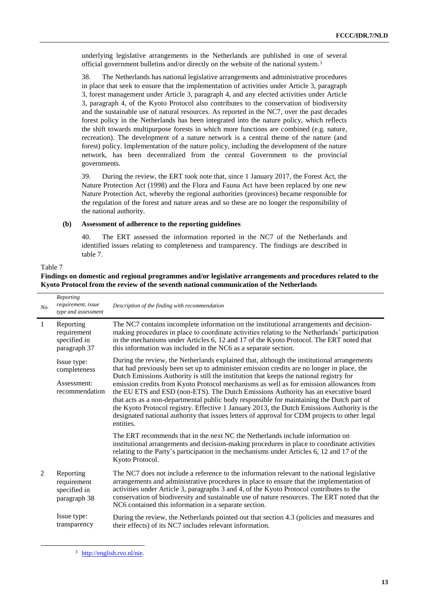underlying legislative arrangements in the Netherlands are published in one of several official government bulletins and/or directly on the website of the national system.<sup>3</sup>

38. The Netherlands has national legislative arrangements and administrative procedures in place that seek to ensure that the implementation of activities under Article 3, paragraph 3, forest management under Article 3, paragraph 4, and any elected activities under Article 3, paragraph 4, of the Kyoto Protocol also contributes to the conservation of biodiversity and the sustainable use of natural resources. As reported in the NC7, over the past decades forest policy in the Netherlands has been integrated into the nature policy, which reflects the shift towards multipurpose forests in which more functions are combined (e.g. nature, recreation). The development of a nature network is a central theme of the nature (and forest) policy. Implementation of the nature policy, including the development of the nature network, has been decentralized from the central Government to the provincial governments.

39. During the review, the ERT took note that, since 1 January 2017, the Forest Act, the Nature Protection Act (1998) and the Flora and Fauna Act have been replaced by one new Nature Protection Act, whereby the regional authorities (provinces) became responsible for the regulation of the forest and nature areas and so these are no longer the responsibility of the national authority.

#### **(b) Assessment of adherence to the reporting guidelines**

40. The ERT assessed the information reported in the NC7 of the Netherlands and identified issues relating to completeness and transparency. The findings are described in table 7.

#### Table 7

 $\overline{a}$ 

## **Findings on domestic and regional programmes and/or legislative arrangements and procedures related to the Kyoto Protocol from the review of the seventh national communication of the Netherlands**

| No.          | Reporting<br>requirement, issue<br>type and assessment       | Description of the finding with recommendation                                                                                                                                                                                                                                                                                                                                                                                                                                                                                                                                                                                                                                                                                                                                 |
|--------------|--------------------------------------------------------------|--------------------------------------------------------------------------------------------------------------------------------------------------------------------------------------------------------------------------------------------------------------------------------------------------------------------------------------------------------------------------------------------------------------------------------------------------------------------------------------------------------------------------------------------------------------------------------------------------------------------------------------------------------------------------------------------------------------------------------------------------------------------------------|
| $\mathbf{1}$ | Reporting<br>requirement<br>specified in<br>paragraph 37     | The NC7 contains incomplete information on the institutional arrangements and decision-<br>making procedures in place to coordinate activities relating to the Netherlands' participation<br>in the mechanisms under Articles 6, 12 and 17 of the Kyoto Protocol. The ERT noted that<br>this information was included in the NC6 as a separate section.                                                                                                                                                                                                                                                                                                                                                                                                                        |
|              | Issue type:<br>completeness<br>Assessment:<br>recommendation | During the review, the Netherlands explained that, although the institutional arrangements<br>that had previously been set up to administer emission credits are no longer in place, the<br>Dutch Emissions Authority is still the institution that keeps the national registry for<br>emission credits from Kyoto Protocol mechanisms as well as for emission allowances from<br>the EU ETS and ESD (non-ETS). The Dutch Emissions Authority has an executive board<br>that acts as a non-departmental public body responsible for maintaining the Dutch part of<br>the Kyoto Protocol registry. Effective 1 January 2013, the Dutch Emissions Authority is the<br>designated national authority that issues letters of approval for CDM projects to other legal<br>entities. |
|              |                                                              | The ERT recommends that in the next NC the Netherlands include information on<br>institutional arrangements and decision-making procedures in place to coordinate activities<br>relating to the Party's participation in the mechanisms under Articles 6, 12 and 17 of the<br>Kyoto Protocol.                                                                                                                                                                                                                                                                                                                                                                                                                                                                                  |
| 2            | Reporting<br>requirement<br>specified in<br>paragraph 38     | The NC7 does not include a reference to the information relevant to the national legislative<br>arrangements and administrative procedures in place to ensure that the implementation of<br>activities under Article 3, paragraphs 3 and 4, of the Kyoto Protocol contributes to the<br>conservation of biodiversity and sustainable use of nature resources. The ERT noted that the<br>NC6 contained this information in a separate section.                                                                                                                                                                                                                                                                                                                                  |
|              | Issue type:<br>transparency                                  | During the review, the Netherlands pointed out that section 4.3 (policies and measures and<br>their effects) of its NC7 includes relevant information.                                                                                                                                                                                                                                                                                                                                                                                                                                                                                                                                                                                                                         |

<sup>3</sup> [http://english.rvo.nl/nie.](http://english.rvo.nl/nie)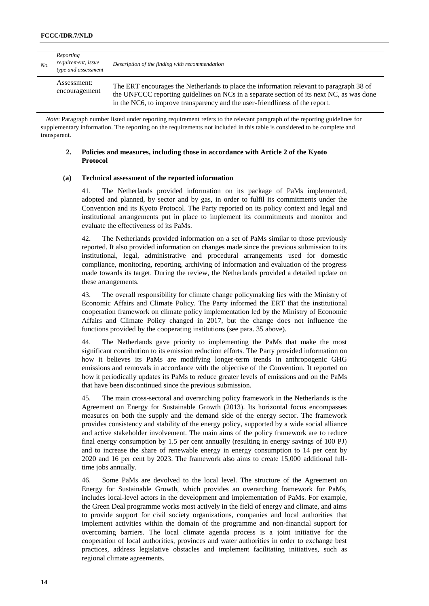| No. | Reporting<br>requirement, issue<br>type and assessment | Description of the finding with recommendation                                                                                                                                                                                                                      |
|-----|--------------------------------------------------------|---------------------------------------------------------------------------------------------------------------------------------------------------------------------------------------------------------------------------------------------------------------------|
|     | Assessment:<br>encouragement                           | The ERT encourages the Netherlands to place the information relevant to paragraph 38 of<br>the UNFCCC reporting guidelines on NCs in a separate section of its next NC, as was done<br>in the NC6, to improve transparency and the user-friendliness of the report. |

*Note*: Paragraph number listed under reporting requirement refers to the relevant paragraph of the reporting guidelines for supplementary information. The reporting on the requirements not included in this table is considered to be complete and transparent.

### **2. Policies and measures, including those in accordance with Article 2 of the Kyoto Protocol**

#### **(a) Technical assessment of the reported information**

41. The Netherlands provided information on its package of PaMs implemented, adopted and planned, by sector and by gas, in order to fulfil its commitments under the Convention and its Kyoto Protocol. The Party reported on its policy context and legal and institutional arrangements put in place to implement its commitments and monitor and evaluate the effectiveness of its PaMs.

42. The Netherlands provided information on a set of PaMs similar to those previously reported. It also provided information on changes made since the previous submission to its institutional, legal, administrative and procedural arrangements used for domestic compliance, monitoring, reporting, archiving of information and evaluation of the progress made towards its target. During the review, the Netherlands provided a detailed update on these arrangements.

43. The overall responsibility for climate change policymaking lies with the Ministry of Economic Affairs and Climate Policy. The Party informed the ERT that the institutional cooperation framework on climate policy implementation led by the Ministry of Economic Affairs and Climate Policy changed in 2017, but the change does not influence the functions provided by the cooperating institutions (see para. 35 above).

44. The Netherlands gave priority to implementing the PaMs that make the most significant contribution to its emission reduction efforts. The Party provided information on how it believes its PaMs are modifying longer-term trends in anthropogenic GHG emissions and removals in accordance with the objective of the Convention. It reported on how it periodically updates its PaMs to reduce greater levels of emissions and on the PaMs that have been discontinued since the previous submission.

45. The main cross-sectoral and overarching policy framework in the Netherlands is the Agreement on Energy for Sustainable Growth (2013). Its horizontal focus encompasses measures on both the supply and the demand side of the energy sector. The framework provides consistency and stability of the energy policy, supported by a wide social alliance and active stakeholder involvement. The main aims of the policy framework are to reduce final energy consumption by 1.5 per cent annually (resulting in energy savings of 100 PJ) and to increase the share of renewable energy in energy consumption to 14 per cent by 2020 and 16 per cent by 2023. The framework also aims to create 15,000 additional fulltime jobs annually.

46. Some PaMs are devolved to the local level. The structure of the Agreement on Energy for Sustainable Growth, which provides an overarching framework for PaMs, includes local-level actors in the development and implementation of PaMs. For example, the Green Deal programme works most actively in the field of energy and climate, and aims to provide support for civil society organizations, companies and local authorities that implement activities within the domain of the programme and non-financial support for overcoming barriers. The local climate agenda process is a joint initiative for the cooperation of local authorities, provinces and water authorities in order to exchange best practices, address legislative obstacles and implement facilitating initiatives, such as regional climate agreements.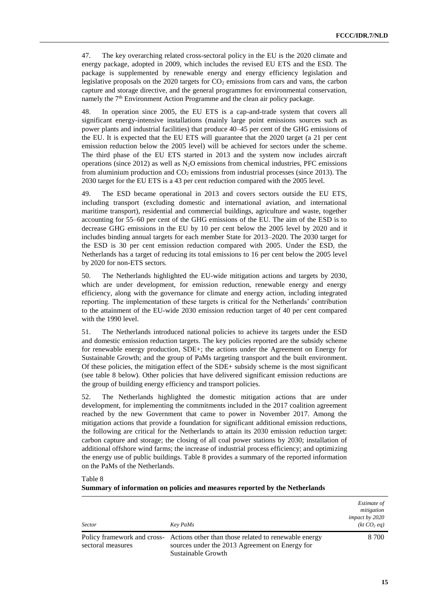47. The key overarching related cross-sectoral policy in the EU is the 2020 climate and energy package, adopted in 2009, which includes the revised EU ETS and the ESD. The package is supplemented by renewable energy and energy efficiency legislation and legislative proposals on the  $2020$  targets for  $CO<sub>2</sub>$  emissions from cars and vans, the carbon capture and storage directive, and the general programmes for environmental conservation, namely the  $7<sup>th</sup>$  Environment Action Programme and the clean air policy package.

48. In operation since 2005, the EU ETS is a cap-and-trade system that covers all significant energy-intensive installations (mainly large point emissions sources such as power plants and industrial facilities) that produce 40–45 per cent of the GHG emissions of the EU. It is expected that the EU ETS will guarantee that the 2020 target (a 21 per cent emission reduction below the 2005 level) will be achieved for sectors under the scheme. The third phase of the EU ETS started in 2013 and the system now includes aircraft operations (since 2012) as well as  $N_2O$  emissions from chemical industries, PFC emissions from aluminium production and  $CO<sub>2</sub>$  emissions from industrial processes (since 2013). The 2030 target for the EU ETS is a 43 per cent reduction compared with the 2005 level.

49. The ESD became operational in 2013 and covers sectors outside the EU ETS, including transport (excluding domestic and international aviation, and international maritime transport), residential and commercial buildings, agriculture and waste, together accounting for 55–60 per cent of the GHG emissions of the EU. The aim of the ESD is to decrease GHG emissions in the EU by 10 per cent below the 2005 level by 2020 and it includes binding annual targets for each member State for 2013–2020. The 2030 target for the ESD is 30 per cent emission reduction compared with 2005. Under the ESD, the Netherlands has a target of reducing its total emissions to 16 per cent below the 2005 level by 2020 for non-ETS sectors.

50. The Netherlands highlighted the EU-wide mitigation actions and targets by 2030, which are under development, for emission reduction, renewable energy and energy efficiency, along with the governance for climate and energy action, including integrated reporting. The implementation of these targets is critical for the Netherlands' contribution to the attainment of the EU-wide 2030 emission reduction target of 40 per cent compared with the 1990 level.

51. The Netherlands introduced national policies to achieve its targets under the ESD and domestic emission reduction targets. The key policies reported are the subsidy scheme for renewable energy production, SDE+; the actions under the Agreement on Energy for Sustainable Growth; and the group of PaMs targeting transport and the built environment. Of these policies, the mitigation effect of the SDE+ subsidy scheme is the most significant (see table 8 below). Other policies that have delivered significant emission reductions are the group of building energy efficiency and transport policies.

52. The Netherlands highlighted the domestic mitigation actions that are under development, for implementing the commitments included in the 2017 coalition agreement reached by the new Government that came to power in November 2017. Among the mitigation actions that provide a foundation for significant additional emission reductions, the following are critical for the Netherlands to attain its 2030 emission reduction target: carbon capture and storage; the closing of all coal power stations by 2030; installation of additional offshore wind farms; the increase of industrial process efficiency; and optimizing the energy use of public buildings. Table 8 provides a summary of the reported information on the PaMs of the Netherlands.

Table 8

| Summary of information on policies and measures reported by the Netherlands |  |  |
|-----------------------------------------------------------------------------|--|--|
|                                                                             |  |  |

| <b>Sector</b>     | Key PaMs                                                                                                                                                    | <i>Estimate of</i><br>mitigation<br>impact by 2020<br>(kt CO <sub>2</sub> eq) |
|-------------------|-------------------------------------------------------------------------------------------------------------------------------------------------------------|-------------------------------------------------------------------------------|
| sectoral measures | Policy framework and cross-<br>Actions other than those related to renewable energy<br>sources under the 2013 Agreement on Energy for<br>Sustainable Growth | 8 700                                                                         |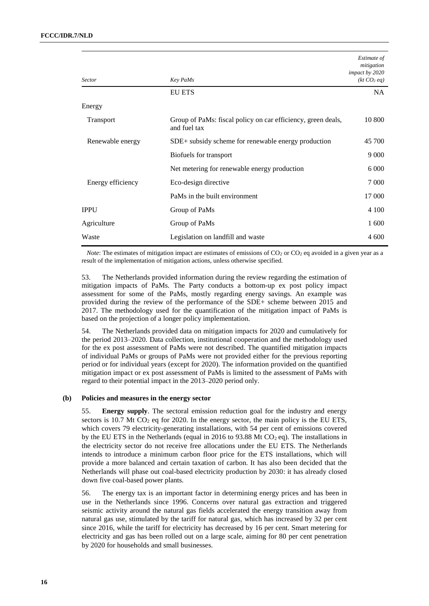| <b>Sector</b>     | Key PaMs                                                                     | Estimate of<br>mitigation<br>impact by 2020<br>(kt CO <sub>2</sub> eq) |
|-------------------|------------------------------------------------------------------------------|------------------------------------------------------------------------|
|                   | <b>EU ETS</b>                                                                | NA.                                                                    |
| Energy            |                                                                              |                                                                        |
| Transport         | Group of PaMs: fiscal policy on car efficiency, green deals,<br>and fuel tax | 10 800                                                                 |
| Renewable energy  | SDE+ subsidy scheme for renewable energy production                          | 45 700                                                                 |
|                   | Biofuels for transport                                                       | 9 0 0 0                                                                |
|                   | Net metering for renewable energy production                                 | 6 0 0 0                                                                |
| Energy efficiency | Eco-design directive                                                         | 7 0 0 0                                                                |
|                   | PaMs in the built environment                                                | 17 000                                                                 |
| <b>IPPU</b>       | Group of PaMs                                                                | 4 100                                                                  |
| Agriculture       | Group of PaMs                                                                | 1 600                                                                  |
| Waste             | Legislation on landfill and waste                                            | 4 600                                                                  |

*Note*: The estimates of mitigation impact are estimates of emissions of CO<sub>2</sub> or CO<sub>2</sub> eq avoided in a given year as a result of the implementation of mitigation actions, unless otherwise specified.

53. The Netherlands provided information during the review regarding the estimation of mitigation impacts of PaMs. The Party conducts a bottom-up ex post policy impact assessment for some of the PaMs, mostly regarding energy savings. An example was provided during the review of the performance of the SDE+ scheme between 2015 and 2017. The methodology used for the quantification of the mitigation impact of PaMs is based on the projection of a longer policy implementation.

54. The Netherlands provided data on mitigation impacts for 2020 and cumulatively for the period 2013–2020. Data collection, institutional cooperation and the methodology used for the ex post assessment of PaMs were not described. The quantified mitigation impacts of individual PaMs or groups of PaMs were not provided either for the previous reporting period or for individual years (except for 2020). The information provided on the quantified mitigation impact or ex post assessment of PaMs is limited to the assessment of PaMs with regard to their potential impact in the 2013–2020 period only.

### **(b) Policies and measures in the energy sector**

55. **Energy supply**. The sectoral emission reduction goal for the industry and energy sectors is  $10.7$  Mt CO<sub>2</sub> eq for 2020. In the energy sector, the main policy is the EU ETS, which covers 79 electricity-generating installations, with 54 per cent of emissions covered by the EU ETS in the Netherlands (equal in 2016 to 93.88 Mt  $CO<sub>2</sub>$  eq). The installations in the electricity sector do not receive free allocations under the EU ETS. The Netherlands intends to introduce a minimum carbon floor price for the ETS installations, which will provide a more balanced and certain taxation of carbon. It has also been decided that the Netherlands will phase out coal-based electricity production by 2030: it has already closed down five coal-based power plants.

56. The energy tax is an important factor in determining energy prices and has been in use in the Netherlands since 1996. Concerns over natural gas extraction and triggered seismic activity around the natural gas fields accelerated the energy transition away from natural gas use, stimulated by the tariff for natural gas, which has increased by 32 per cent since 2016, while the tariff for electricity has decreased by 16 per cent. Smart metering for electricity and gas has been rolled out on a large scale, aiming for 80 per cent penetration by 2020 for households and small businesses.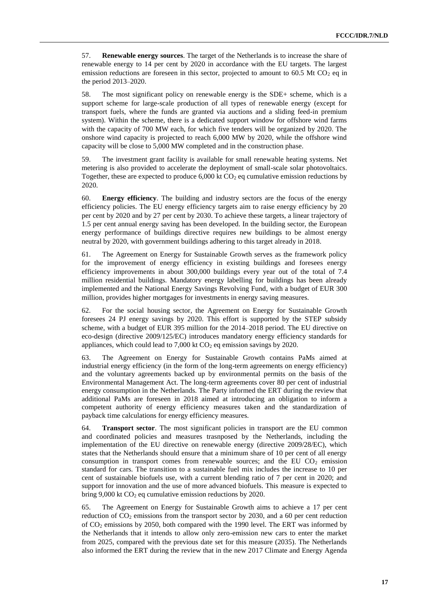57. **Renewable energy sources**. The target of the Netherlands is to increase the share of renewable energy to 14 per cent by 2020 in accordance with the EU targets. The largest emission reductions are foreseen in this sector, projected to amount to 60.5 Mt CO<sub>2</sub> eq in the period 2013–2020.

58. The most significant policy on renewable energy is the SDE+ scheme, which is a support scheme for large-scale production of all types of renewable energy (except for transport fuels, where the funds are granted via auctions and a sliding feed-in premium system). Within the scheme, there is a dedicated support window for offshore wind farms with the capacity of 700 MW each, for which five tenders will be organized by 2020. The onshore wind capacity is projected to reach 6,000 MW by 2020, while the offshore wind capacity will be close to 5,000 MW completed and in the construction phase.

59. The investment grant facility is available for small renewable heating systems. Net metering is also provided to accelerate the deployment of small-scale solar photovoltaics. Together, these are expected to produce  $6,000$  kt  $CO<sub>2</sub>$  eq cumulative emission reductions by 2020.

60. **Energy efficiency**. The building and industry sectors are the focus of the energy efficiency policies. The EU energy efficiency targets aim to raise energy efficiency by 20 per cent by 2020 and by 27 per cent by 2030. To achieve these targets, a linear trajectory of 1.5 per cent annual energy saving has been developed. In the building sector, the European energy performance of buildings directive requires new buildings to be almost energy neutral by 2020, with government buildings adhering to this target already in 2018.

61. The Agreement on Energy for Sustainable Growth serves as the framework policy for the improvement of energy efficiency in existing buildings and foresees energy efficiency improvements in about 300,000 buildings every year out of the total of 7.4 million residential buildings. Mandatory energy labelling for buildings has been already implemented and the National Energy Savings Revolving Fund, with a budget of EUR 300 million, provides higher mortgages for investments in energy saving measures.

62. For the social housing sector, the Agreement on Energy for Sustainable Growth foresees 24 PJ energy savings by 2020. This effort is supported by the STEP subsidy scheme, with a budget of EUR 395 million for the 2014–2018 period. The EU directive on eco-design (directive 2009/125/EC) introduces mandatory energy efficiency standards for appliances, which could lead to  $7,000$  kt  $CO<sub>2</sub>$  eq emission savings by 2020.

63. The Agreement on Energy for Sustainable Growth contains PaMs aimed at industrial energy efficiency (in the form of the long-term agreements on energy efficiency) and the voluntary agreements backed up by environmental permits on the basis of the Environmental Management Act. The long-term agreements cover 80 per cent of industrial energy consumption in the Netherlands. The Party informed the ERT during the review that additional PaMs are foreseen in 2018 aimed at introducing an obligation to inform a competent authority of energy efficiency measures taken and the standardization of payback time calculations for energy efficiency measures.

64. **Transport sector**. The most significant policies in transport are the EU common and coordinated policies and measures trasnposed by the Netherlands, including the implementation of the EU directive on renewable energy (directive 2009/28/EC), which states that the Netherlands should ensure that a minimum share of 10 per cent of all energy consumption in transport comes from renewable sources; and the EU  $CO<sub>2</sub>$  emission standard for cars. The transition to a sustainable fuel mix includes the increase to 10 per cent of sustainable biofuels use, with a current blending ratio of 7 per cent in 2020; and support for innovation and the use of more advanced biofuels. This measure is expected to bring 9,000 kt  $CO<sub>2</sub>$  eq cumulative emission reductions by 2020.

65. The Agreement on Energy for Sustainable Growth aims to achieve a 17 per cent reduction of  $CO<sub>2</sub>$  emissions from the transport sector by 2030, and a 60 per cent reduction of  $CO<sub>2</sub>$  emissions by 2050, both compared with the 1990 level. The ERT was informed by the Netherlands that it intends to allow only zero-emission new cars to enter the market from 2025, compared with the previous date set for this measure (2035). The Netherlands also informed the ERT during the review that in the new 2017 Climate and Energy Agenda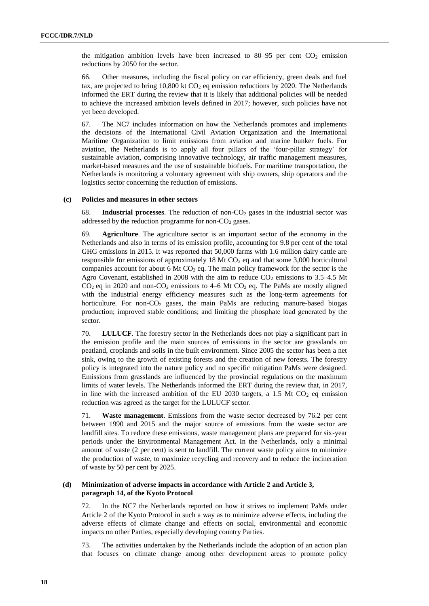the mitigation ambition levels have been increased to  $80-95$  per cent  $CO<sub>2</sub>$  emission reductions by 2050 for the sector.

66. Other measures, including the fiscal policy on car efficiency, green deals and fuel tax, are projected to bring  $10,800$  kt  $CO<sub>2</sub>$  eq emission reductions by 2020. The Netherlands informed the ERT during the review that it is likely that additional policies will be needed to achieve the increased ambition levels defined in 2017; however, such policies have not yet been developed.

67. The NC7 includes information on how the Netherlands promotes and implements the decisions of the International Civil Aviation Organization and the International Maritime Organization to limit emissions from aviation and marine bunker fuels. For aviation, the Netherlands is to apply all four pillars of the 'four-pillar strategy' for sustainable aviation, comprising innovative technology, air traffic management measures, market-based measures and the use of sustainable biofuels. For maritime transportation, the Netherlands is monitoring a voluntary agreement with ship owners, ship operators and the logistics sector concerning the reduction of emissions.

#### **(c) Policies and measures in other sectors**

68. **Industrial processes**. The reduction of non-CO<sup>2</sup> gases in the industrial sector was addressed by the reduction programme for non- $CO<sub>2</sub>$  gases.

69. **Agriculture**. The agriculture sector is an important sector of the economy in the Netherlands and also in terms of its emission profile, accounting for 9.8 per cent of the total GHG emissions in 2015. It was reported that 50,000 farms with 1.6 million dairy cattle are responsible for emissions of approximately 18 Mt  $CO<sub>2</sub>$  eq and that some 3,000 horticultural companies account for about 6 Mt  $CO<sub>2</sub>$  eq. The main policy framework for the sector is the Agro Covenant, established in 2008 with the aim to reduce  $CO_2$  emissions to 3.5–4.5 Mt  $CO<sub>2</sub>$  eq in 2020 and non-CO<sub>2</sub> emissions to 4–6 Mt CO<sub>2</sub> eq. The PaMs are mostly aligned with the industrial energy efficiency measures such as the long-term agreements for horticulture. For non- $CO<sub>2</sub>$  gases, the main PaMs are reducing manure-based biogas production; improved stable conditions; and limiting the phosphate load generated by the sector.

70. **LULUCF**. The forestry sector in the Netherlands does not play a significant part in the emission profile and the main sources of emissions in the sector are grasslands on peatland, croplands and soils in the built environment. Since 2005 the sector has been a net sink, owing to the growth of existing forests and the creation of new forests. The forestry policy is integrated into the nature policy and no specific mitigation PaMs were designed. Emissions from grasslands are influenced by the provincial regulations on the maximum limits of water levels. The Netherlands informed the ERT during the review that, in 2017, in line with the increased ambition of the EU 2030 targets, a 1.5 Mt  $CO<sub>2</sub>$  eq emission reduction was agreed as the target for the LULUCF sector.

71. **Waste management**. Emissions from the waste sector decreased by 76.2 per cent between 1990 and 2015 and the major source of emissions from the waste sector are landfill sites. To reduce these emissions, waste management plans are prepared for six-year periods under the Environmental Management Act. In the Netherlands, only a minimal amount of waste (2 per cent) is sent to landfill. The current waste policy aims to minimize the production of waste, to maximize recycling and recovery and to reduce the incineration of waste by 50 per cent by 2025.

### **(d) Minimization of adverse impacts in accordance with Article 2 and Article 3, paragraph 14, of the Kyoto Protocol**

72. In the NC7 the Netherlands reported on how it strives to implement PaMs under Article 2 of the Kyoto Protocol in such a way as to minimize adverse effects, including the adverse effects of climate change and effects on social, environmental and economic impacts on other Parties, especially developing country Parties.

73. The activities undertaken by the Netherlands include the adoption of an action plan that focuses on climate change among other development areas to promote policy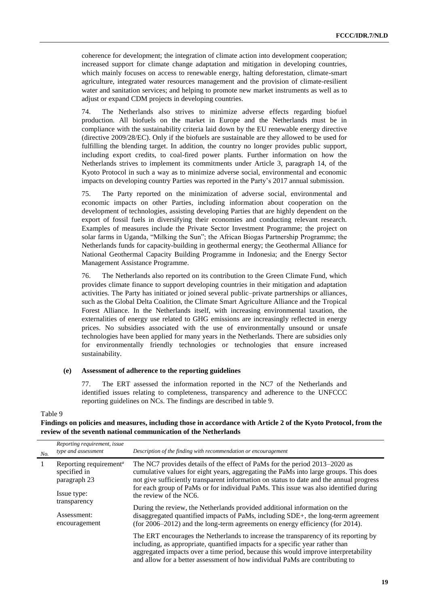coherence for development; the integration of climate action into development cooperation; increased support for climate change adaptation and mitigation in developing countries, which mainly focuses on access to renewable energy, halting deforestation, climate-smart agriculture, integrated water resources management and the provision of climate-resilient water and sanitation services; and helping to promote new market instruments as well as to adjust or expand CDM projects in developing countries.

74. The Netherlands also strives to minimize adverse effects regarding biofuel production. All biofuels on the market in Europe and the Netherlands must be in compliance with the sustainability criteria laid down by the EU renewable energy directive (directive 2009/28/EC). Only if the biofuels are sustainable are they allowed to be used for fulfilling the blending target. In addition, the country no longer provides public support, including export credits, to coal-fired power plants. Further information on how the Netherlands strives to implement its commitments under Article 3, paragraph 14, of the Kyoto Protocol in such a way as to minimize adverse social, environmental and economic impacts on developing country Parties was reported in the Party's 2017 annual submission.

75. The Party reported on the minimization of adverse social, environmental and economic impacts on other Parties, including information about cooperation on the development of technologies, assisting developing Parties that are highly dependent on the export of fossil fuels in diversifying their economies and conducting relevant research. Examples of measures include the Private Sector Investment Programme; the project on solar farms in Uganda, "Milking the Sun"; the African Biogas Partnership Programme; the Netherlands funds for capacity-building in geothermal energy; the Geothermal Alliance for National Geothermal Capacity Building Programme in Indonesia; and the Energy Sector Management Assistance Programme.

76. The Netherlands also reported on its contribution to the Green Climate Fund, which provides climate finance to support developing countries in their mitigation and adaptation activities. The Party has initiated or joined several public–private partnerships or alliances, such as the Global Delta Coalition, the Climate Smart Agriculture Alliance and the Tropical Forest Alliance. In the Netherlands itself, with increasing environmental taxation, the externalities of energy use related to GHG emissions are increasingly reflected in energy prices. No subsidies associated with the use of environmentally unsound or unsafe technologies have been applied for many years in the Netherlands. There are subsidies only for environmentally friendly technologies or technologies that ensure increased sustainability.

#### **(e) Assessment of adherence to the reporting guidelines**

77. The ERT assessed the information reported in the NC7 of the Netherlands and identified issues relating to completeness, transparency and adherence to the UNFCCC reporting guidelines on NCs. The findings are described in table 9.

#### Table 9

## **Findings on policies and measures, including those in accordance with Article 2 of the Kyoto Protocol, from the review of the seventh national communication of the Netherlands**

| No.            | Reporting requirement, issue<br>type and assessment                                               | Description of the finding with recommendation or encouragement                                                                                                                                                                                                                                                                                                                 |
|----------------|---------------------------------------------------------------------------------------------------|---------------------------------------------------------------------------------------------------------------------------------------------------------------------------------------------------------------------------------------------------------------------------------------------------------------------------------------------------------------------------------|
| $\overline{1}$ | Reporting requirement <sup>a</sup><br>specified in<br>paragraph 23<br>Issue type:<br>transparency | The NC7 provides details of the effect of PaMs for the period 2013–2020 as<br>cumulative values for eight years, aggregating the PaMs into large groups. This does<br>not give sufficiently transparent information on status to date and the annual progress<br>for each group of PaMs or for individual PaMs. This issue was also identified during<br>the review of the NC6. |
|                | Assessment:<br>encouragement                                                                      | During the review, the Netherlands provided additional information on the<br>disaggregated quantified impacts of PaMs, including SDE+, the long-term agreement<br>(for $2006-2012$ ) and the long-term agreements on energy efficiency (for 2014).                                                                                                                              |
|                |                                                                                                   | The ERT encourages the Netherlands to increase the transparency of its reporting by<br>including, as appropriate, quantified impacts for a specific year rather than<br>aggregated impacts over a time period, because this would improve interpretability<br>and allow for a better assessment of how individual PaMs are contributing to                                      |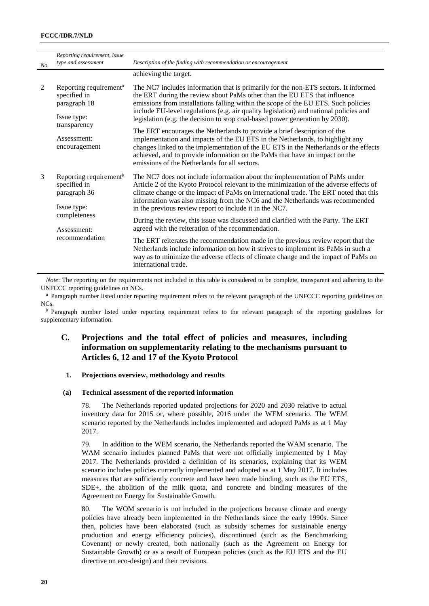| No. | Reporting requirement, issue<br>type and assessment                                                              | Description of the finding with recommendation or encouragement                                                                                                                                                                                                                                                                                                                                                                                                                                                                                                                              |
|-----|------------------------------------------------------------------------------------------------------------------|----------------------------------------------------------------------------------------------------------------------------------------------------------------------------------------------------------------------------------------------------------------------------------------------------------------------------------------------------------------------------------------------------------------------------------------------------------------------------------------------------------------------------------------------------------------------------------------------|
|     |                                                                                                                  | achieving the target.                                                                                                                                                                                                                                                                                                                                                                                                                                                                                                                                                                        |
| 2   | Reporting requirement <sup>a</sup><br>specified in<br>paragraph 18<br>Issue type:<br>transparency<br>Assessment: | The NC7 includes information that is primarily for the non-ETS sectors. It informed<br>the ERT during the review about PaMs other than the EU ETS that influence<br>emissions from installations falling within the scope of the EU ETS. Such policies<br>include EU-level regulations (e.g. air quality legislation) and national policies and<br>legislation (e.g. the decision to stop coal-based power generation by 2030).<br>The ERT encourages the Netherlands to provide a brief description of the<br>implementation and impacts of the EU ETS in the Netherlands, to highlight any |
|     | encouragement                                                                                                    | changes linked to the implementation of the EU ETS in the Netherlands or the effects<br>achieved, and to provide information on the PaMs that have an impact on the<br>emissions of the Netherlands for all sectors.                                                                                                                                                                                                                                                                                                                                                                         |
| 3   | Reporting requirement <sup><math>b</math></sup><br>specified in<br>paragraph 36                                  | The NC7 does not include information about the implementation of PaMs under<br>Article 2 of the Kyoto Protocol relevant to the minimization of the adverse effects of<br>climate change or the impact of PaMs on international trade. The ERT noted that this<br>information was also missing from the NC6 and the Netherlands was recommended                                                                                                                                                                                                                                               |
|     | Issue type:                                                                                                      | in the previous review report to include it in the NC7.                                                                                                                                                                                                                                                                                                                                                                                                                                                                                                                                      |
|     | completeness<br>Assessment:<br>recommendation                                                                    | During the review, this issue was discussed and clarified with the Party. The ERT<br>agreed with the reiteration of the recommendation.                                                                                                                                                                                                                                                                                                                                                                                                                                                      |
|     |                                                                                                                  | The ERT reiterates the recommendation made in the previous review report that the<br>Netherlands include information on how it strives to implement its PaMs in such a<br>way as to minimize the adverse effects of climate change and the impact of PaMs on<br>international trade.                                                                                                                                                                                                                                                                                                         |

*Note*: The reporting on the requirements not included in this table is considered to be complete, transparent and adhering to the UNFCCC reporting guidelines on NCs.

*<sup>a</sup>* Paragraph number listed under reporting requirement refers to the relevant paragraph of the UNFCCC reporting guidelines on NCs.

*<sup>b</sup>* Paragraph number listed under reporting requirement refers to the relevant paragraph of the reporting guidelines for supplementary information.

## **C. Projections and the total effect of policies and measures, including information on supplementarity relating to the mechanisms pursuant to Articles 6, 12 and 17 of the Kyoto Protocol**

## **1. Projections overview, methodology and results**

#### **(a) Technical assessment of the reported information**

78. The Netherlands reported updated projections for 2020 and 2030 relative to actual inventory data for 2015 or, where possible, 2016 under the WEM scenario. The WEM scenario reported by the Netherlands includes implemented and adopted PaMs as at 1 May 2017.

79. In addition to the WEM scenario, the Netherlands reported the WAM scenario. The WAM scenario includes planned PaMs that were not officially implemented by 1 May 2017. The Netherlands provided a definition of its scenarios, explaining that its WEM scenario includes policies currently implemented and adopted as at 1 May 2017. It includes measures that are sufficiently concrete and have been made binding, such as the EU ETS, SDE+, the abolition of the milk quota, and concrete and binding measures of the Agreement on Energy for Sustainable Growth.

80. The WOM scenario is not included in the projections because climate and energy policies have already been implemented in the Netherlands since the early 1990s. Since then, policies have been elaborated (such as subsidy schemes for sustainable energy production and energy efficiency policies), discontinued (such as the Benchmarking Covenant) or newly created, both nationally (such as the Agreement on Energy for Sustainable Growth) or as a result of European policies (such as the EU ETS and the EU directive on eco-design) and their revisions.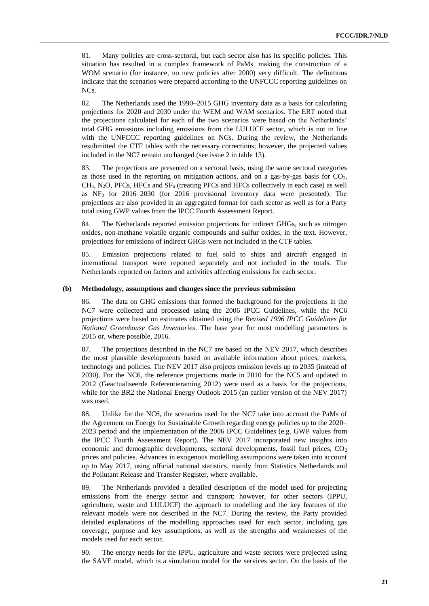81. Many policies are cross-sectoral, but each sector also has its specific policies. This situation has resulted in a complex framework of PaMs, making the construction of a WOM scenario (for instance, no new policies after 2000) very difficult. The definitions indicate that the scenarios were prepared according to the UNFCCC reporting guidelines on NCs.

82. The Netherlands used the 1990–2015 GHG inventory data as a basis for calculating projections for 2020 and 2030 under the WEM and WAM scenarios. The ERT noted that the projections calculated for each of the two scenarios were based on the Netherlands' total GHG emissions including emissions from the LULUCF sector, which is not in line with the UNFCCC reporting guidelines on NCs. During the review, the Netherlands resubmitted the CTF tables with the necessary corrections; however, the projected values included in the NC7 remain unchanged (see issue 2 in table 13).

83. The projections are presented on a sectoral basis, using the same sectoral categories as those used in the reporting on mitigation actions, and on a gas-by-gas basis for  $CO<sub>2</sub>$ ,  $CH<sub>4</sub>$ , N<sub>2</sub>O, PFCs, HFCs and SF<sub>6</sub> (treating PFCs and HFCs collectively in each case) as well as NF<sup>3</sup> for 2016–2030 (for 2016 provisional inventory data were presented). The projections are also provided in an aggregated format for each sector as well as for a Party total using GWP values from the IPCC Fourth Assessment Report.

84. The Netherlands reported emission projections for indirect GHGs, such as nitrogen oxides, non-methane volatile organic compounds and sulfur oxides, in the text. However, projections for emissions of indirect GHGs were not included in the CTF tables.

85. Emission projections related to fuel sold to ships and aircraft engaged in international transport were reported separately and not included in the totals. The Netherlands reported on factors and activities affecting emissions for each sector.

#### **(b) Methodology, assumptions and changes since the previous submission**

86. The data on GHG emissions that formed the background for the projections in the NC7 were collected and processed using the 2006 IPCC Guidelines, while the NC6 projections were based on estimates obtained using the *Revised 1996 IPCC Guidelines for National Greenhouse Gas Inventories*. The base year for most modelling parameters is 2015 or, where possible, 2016.

87. The projections described in the NC7 are based on the NEV 2017, which describes the most plausible developments based on available information about prices, markets, technology and policies. The NEV 2017 also projects emission levels up to 2035 (instead of 2030). For the NC6, the reference projections made in 2010 for the NC5 and updated in 2012 (Geactualiseerde Referentieraming 2012) were used as a basis for the projections, while for the BR2 the National Energy Outlook 2015 (an earlier version of the NEV 2017) was used.

88. Unlike for the NC6, the scenarios used for the NC7 take into account the PaMs of the Agreement on Energy for Sustainable Growth regarding energy policies up to the 2020– 2023 period and the implementation of the 2006 IPCC Guidelines (e.g. GWP values from the IPCC Fourth Assessment Report). The NEV 2017 incorporated new insights into economic and demographic developments, sectoral developments, fossil fuel prices,  $CO<sub>2</sub>$ prices and policies. Advances in exogenous modelling assumptions were taken into account up to May 2017, using official national statistics, mainly from Statistics Netherlands and the Pollutant Release and Transfer Register, where available.

89. The Netherlands provided a detailed description of the model used for projecting emissions from the energy sector and transport; however, for other sectors (IPPU, agriculture, waste and LULUCF) the approach to modelling and the key features of the relevant models were not described in the NC7. During the review, the Party provided detailed explanations of the modelling approaches used for each sector, including gas coverage, purpose and key assumptions, as well as the strengths and weaknesses of the models used for each sector.

90. The energy needs for the IPPU, agriculture and waste sectors were projected using the SAVE model, which is a simulation model for the services sector. On the basis of the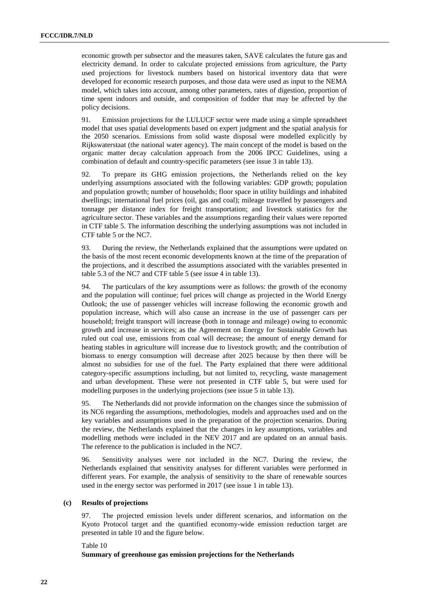economic growth per subsector and the measures taken, SAVE calculates the future gas and electricity demand. In order to calculate projected emissions from agriculture, the Party used projections for livestock numbers based on historical inventory data that were developed for economic research purposes, and those data were used as input to the NEMA model, which takes into account, among other parameters, rates of digestion, proportion of time spent indoors and outside, and composition of fodder that may be affected by the policy decisions.

91. Emission projections for the LULUCF sector were made using a simple spreadsheet model that uses spatial developments based on expert judgment and the spatial analysis for the 2050 scenarios. Emissions from solid waste disposal were modelled explicitly by Rijkswaterstaat (the national water agency). The main concept of the model is based on the organic matter decay calculation approach from the 2006 IPCC Guidelines, using a combination of default and country-specific parameters (see issue 3 in table 13).

92. To prepare its GHG emission projections, the Netherlands relied on the key underlying assumptions associated with the following variables: GDP growth; population and population growth; number of households; floor space in utility buildings and inhabited dwellings; international fuel prices (oil, gas and coal); mileage travelled by passengers and tonnage per distance index for freight transportation; and livestock statistics for the agriculture sector. These variables and the assumptions regarding their values were reported in CTF table 5. The information describing the underlying assumptions was not included in CTF table 5 or the NC7.

93. During the review, the Netherlands explained that the assumptions were updated on the basis of the most recent economic developments known at the time of the preparation of the projections, and it described the assumptions associated with the variables presented in table 5.3 of the NC7 and CTF table 5 (see issue 4 in table 13).

94. The particulars of the key assumptions were as follows: the growth of the economy and the population will continue; fuel prices will change as projected in the World Energy Outlook; the use of passenger vehicles will increase following the economic growth and population increase, which will also cause an increase in the use of passenger cars per household; freight transport will increase (both in tonnage and mileage) owing to economic growth and increase in services; as the Agreement on Energy for Sustainable Growth has ruled out coal use, emissions from coal will decrease; the amount of energy demand for heating stables in agriculture will increase due to livestock growth; and the contribution of biomass to energy consumption will decrease after 2025 because by then there will be almost no subsidies for use of the fuel. The Party explained that there were additional category-specific assumptions including, but not limited to, recycling, waste management and urban development. These were not presented in CTF table 5, but were used for modelling purposes in the underlying projections (see issue 5 in table 13).

95. The Netherlands did not provide information on the changes since the submission of its NC6 regarding the assumptions, methodologies, models and approaches used and on the key variables and assumptions used in the preparation of the projection scenarios. During the review, the Netherlands explained that the changes in key assumptions, variables and modelling methods were included in the NEV 2017 and are updated on an annual basis. The reference to the publication is included in the NC7.

96. Sensitivity analyses were not included in the NC7. During the review, the Netherlands explained that sensitivity analyses for different variables were performed in different years. For example, the analysis of sensitivity to the share of renewable sources used in the energy sector was performed in 2017 (see issue 1 in table 13).

#### **(c) Results of projections**

97. The projected emission levels under different scenarios, and information on the Kyoto Protocol target and the quantified economy-wide emission reduction target are presented in table 10 and the figure below.

Table 10

**Summary of greenhouse gas emission projections for the Netherlands**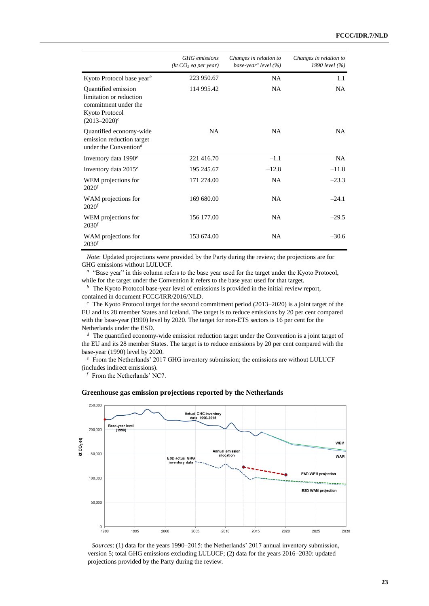|                                                                                                               | <b>GHG</b> emissions<br>(kt CO <sub>2</sub> eq per year) | Changes in relation to<br>base-year <sup>a</sup> level (%) | Changes in relation to<br>1990 level (%) |
|---------------------------------------------------------------------------------------------------------------|----------------------------------------------------------|------------------------------------------------------------|------------------------------------------|
| Kyoto Protocol base year <sup>b</sup>                                                                         | 223 950.67                                               | <b>NA</b>                                                  | 1.1                                      |
| Quantified emission<br>limitation or reduction<br>commitment under the<br>Kyoto Protocol<br>$(2013 - 2020)^c$ | 114 995.42                                               | <b>NA</b>                                                  | NA.                                      |
| Quantified economy-wide<br>emission reduction target<br>under the Convention <sup>d</sup>                     | <b>NA</b>                                                | <b>NA</b>                                                  | NA.                                      |
| Inventory data $1990^e$                                                                                       | 221 416.70                                               | $-1.1$                                                     | <b>NA</b>                                |
| Inventory data $2015^e$                                                                                       | 195 245.67                                               | $-12.8$                                                    | $-11.8$                                  |
| WEM projections for<br>2020 <sup>f</sup>                                                                      | 171 274.00                                               | <b>NA</b>                                                  | $-23.3$                                  |
| WAM projections for<br>2020 <sup>f</sup>                                                                      | 169 680.00                                               | <b>NA</b>                                                  | $-24.1$                                  |
| WEM projections for<br>2030 <sup>f</sup>                                                                      | 156 177.00                                               | <b>NA</b>                                                  | $-29.5$                                  |
| WAM projections for<br>2030 <sup>f</sup>                                                                      | 153 674.00                                               | <b>NA</b>                                                  | $-30.6$                                  |

*Note*: Updated projections were provided by the Party during the review; the projections are for GHG emissions without LULUCF.

<sup>a</sup> "Base year" in this column refers to the base year used for the target under the Kyoto Protocol, while for the target under the Convention it refers to the base year used for that target.

 $\bar{p}$ The Kyoto Protocol base-year level of emissions is provided in the initial review report, contained in document FCCC/IRR/2016/NLD.

 $c$ The Kyoto Protocol target for the second commitment period (2013–2020) is a joint target of the EU and its 28 member States and Iceland. The target is to reduce emissions by 20 per cent compared with the base-year (1990) level by 2020. The target for non-ETS sectors is 16 per cent for the Netherlands under the ESD.

*d* The quantified economy-wide emission reduction target under the Convention is a joint target of the EU and its 28 member States. The target is to reduce emissions by 20 per cent compared with the base-year (1990) level by 2020.

<sup>e</sup> From the Netherlands' 2017 GHG inventory submission; the emissions are without LULUCF (includes indirect emissions).

 $f$  From the Netherlands' NC7.

#### **Greenhouse gas emission projections reported by the Netherlands**



*Sources*: (1) data for the years 1990–2015: the Netherlands' 2017 annual inventory submission, version 5; total GHG emissions excluding LULUCF; (2) data for the years 2016–2030: updated projections provided by the Party during the review.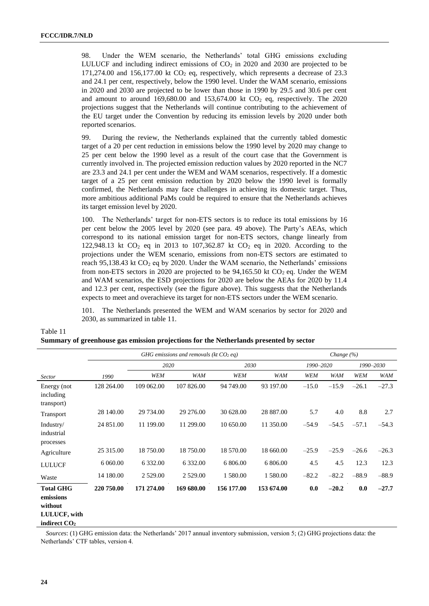98. Under the WEM scenario, the Netherlands' total GHG emissions excluding LULUCF and including indirect emissions of  $CO<sub>2</sub>$  in 2020 and 2030 are projected to be  $171,274.00$  and  $156,177.00$  kt CO<sub>2</sub> eq, respectively, which represents a decrease of 23.3 and 24.1 per cent, respectively, below the 1990 level. Under the WAM scenario, emissions in 2020 and 2030 are projected to be lower than those in 1990 by 29.5 and 30.6 per cent and amount to around  $169,680.00$  and  $153,674.00$  kt  $CO<sub>2</sub>$  eq, respectively. The 2020 projections suggest that the Netherlands will continue contributing to the achievement of the EU target under the Convention by reducing its emission levels by 2020 under both reported scenarios.

99. During the review, the Netherlands explained that the currently tabled domestic target of a 20 per cent reduction in emissions below the 1990 level by 2020 may change to 25 per cent below the 1990 level as a result of the court case that the Government is currently involved in. The projected emission reduction values by 2020 reported in the NC7 are 23.3 and 24.1 per cent under the WEM and WAM scenarios, respectively. If a domestic target of a 25 per cent emission reduction by 2020 below the 1990 level is formally confirmed, the Netherlands may face challenges in achieving its domestic target. Thus, more ambitious additional PaMs could be required to ensure that the Netherlands achieves its target emission level by 2020.

100. The Netherlands' target for non-ETS sectors is to reduce its total emissions by 16 per cent below the 2005 level by 2020 (see para. 49 above). The Party's AEAs, which correspond to its national emission target for non-ETS sectors, change linearly from 122,948.13 kt  $CO_2$  eq in 2013 to 107,362.87 kt  $CO_2$  eq in 2020. According to the projections under the WEM scenario, emissions from non-ETS sectors are estimated to reach 95,138.43 kt  $CO<sub>2</sub>$  eq by 2020. Under the WAM scenario, the Netherlands' emissions from non-ETS sectors in 2020 are projected to be  $94,165.50$  kt  $CO<sub>2</sub>$  eq. Under the WEM and WAM scenarios, the ESD projections for 2020 are below the AEAs for 2020 by 11.4 and 12.3 per cent, respectively (see the figure above). This suggests that the Netherlands expects to meet and overachieve its target for non-ETS sectors under the WEM scenario.

101. The Netherlands presented the WEM and WAM scenarios by sector for 2020 and 2030, as summarized in table 11.

| Summary of greenhouse gas emission projections for the Netherlands presented by sector |                                          |             |             |            |            |                |            |            |            |
|----------------------------------------------------------------------------------------|------------------------------------------|-------------|-------------|------------|------------|----------------|------------|------------|------------|
|                                                                                        | GHG emissions and removals (kt $CO2$ eq) |             |             |            |            | Change $(\% )$ |            |            |            |
|                                                                                        |                                          | 2020        |             | 2030       |            | 1990-2020      |            |            | 1990-2030  |
| <b>Sector</b>                                                                          | 1990                                     | WEM         | <b>WAM</b>  | WEM        | WAM        | WEM            | <b>WAM</b> | <b>WEM</b> | <b>WAM</b> |
| Energy (not<br>including<br>transport)                                                 | 128 264.00                               | 109 062.00  | 107 826.00  | 94 749.00  | 93 197.00  | $-15.0$        | $-15.9$    | $-26.1$    | $-27.3$    |
| Transport                                                                              | 28 140.00                                | 29 734.00   | 29 276.00   | 30 628.00  | 28 887.00  | 5.7            | 4.0        | 8.8        | 2.7        |
| Industry/<br>industrial<br>processes                                                   | 24 851.00                                | 11 199.00   | 11 299.00   | 10 650.00  | 11 350.00  | $-54.9$        | $-54.5$    | $-57.1$    | $-54.3$    |
| Agriculture                                                                            | 25 315.00                                | 18 750.00   | 18 750.00   | 18 570.00  | 18 660.00  | $-25.9$        | $-25.9$    | $-26.6$    | $-26.3$    |
| <b>LULUCF</b>                                                                          | 6 060.00                                 | 6 3 3 2 .00 | 6 3 3 2 .00 | 6 806.00   | 6 806.00   | 4.5            | 4.5        | 12.3       | 12.3       |
| Waste                                                                                  | 14 180.00                                | 2 5 2 9 .00 | 2 5 2 9 .00 | 1 580.00   | 1 580.00   | $-82.2$        | $-82.2$    | $-88.9$    | $-88.9$    |
| <b>Total GHG</b><br>emissions<br>without<br>LULUCF, with                               | 220 750.00                               | 171 274.00  | 169 680.00  | 156 177.00 | 153 674.00 | 0.0            | $-20.2$    | 0.0        | $-27.7$    |

*Sources*: (1) GHG emission data: the Netherlands' 2017 annual inventory submission, version 5; (2) GHG projections data: the Netherlands' CTF tables, version 4.

**indirect CO<sup>2</sup>**

Table 11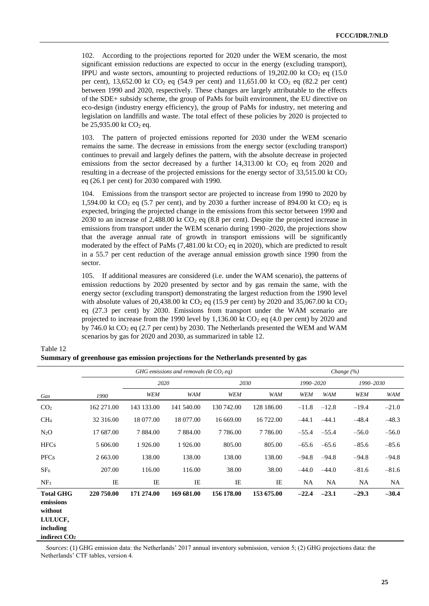102. According to the projections reported for 2020 under the WEM scenario, the most significant emission reductions are expected to occur in the energy (excluding transport), IPPU and waste sectors, amounting to projected reductions of  $19,202.00$  kt CO<sub>2</sub> eq (15.0) per cent), 13,652.00 kt  $CO_2$  eq (54.9 per cent) and 11,651.00 kt  $CO_2$  eq (82.2 per cent) between 1990 and 2020, respectively. These changes are largely attributable to the effects of the SDE+ subsidy scheme, the group of PaMs for built environment, the EU directive on eco-design (industry energy efficiency), the group of PaMs for industry, net metering and legislation on landfills and waste. The total effect of these policies by 2020 is projected to be  $25,935.00$  kt  $CO<sub>2</sub>$  eq.

103. The pattern of projected emissions reported for 2030 under the WEM scenario remains the same. The decrease in emissions from the energy sector (excluding transport) continues to prevail and largely defines the pattern, with the absolute decrease in projected emissions from the sector decreased by a further  $14,313.00$  kt  $CO<sub>2</sub>$  eq from 2020 and resulting in a decrease of the projected emissions for the energy sector of  $33,515.00$  kt CO<sub>2</sub> eq (26.1 per cent) for 2030 compared with 1990.

104. Emissions from the transport sector are projected to increase from 1990 to 2020 by 1,594.00 kt  $CO<sub>2</sub>$  eq (5.7 per cent), and by 2030 a further increase of 894.00 kt  $CO<sub>2</sub>$  eq is expected, bringing the projected change in the emissions from this sector between 1990 and 2030 to an increase of 2,488.00 kt  $CO<sub>2</sub>$  eq (8.8 per cent). Despite the projected increase in emissions from transport under the WEM scenario during 1990–2020, the projections show that the average annual rate of growth in transport emissions will be significantly moderated by the effect of PaMs  $(7,481.00 \text{ kt})$  CO<sub>2</sub> eq in 2020), which are predicted to result in a 55.7 per cent reduction of the average annual emission growth since 1990 from the sector.

105. If additional measures are considered (i.e. under the WAM scenario), the patterns of emission reductions by 2020 presented by sector and by gas remain the same, with the energy sector (excluding transport) demonstrating the largest reduction from the 1990 level with absolute values of 20,438.00 kt  $CO<sub>2</sub>$  eq (15.9 per cent) by 2020 and 35,067.00 kt  $CO<sub>2</sub>$ eq (27.3 per cent) by 2030. Emissions from transport under the WAM scenario are projected to increase from the 1990 level by 1,136.00 kt  $CO<sub>2</sub>$  eq (4.0 per cent) by 2020 and by 746.0 kt  $CO<sub>2</sub>$  eq (2.7 per cent) by 2030. The Netherlands presented the WEM and WAM scenarios by gas for 2020 and 2030, as summarized in table 12.

|                                                                  |            | GHG emissions and removals (kt $CO2$ eq) |             |             |             |           | Change $(\% )$ |            |            |
|------------------------------------------------------------------|------------|------------------------------------------|-------------|-------------|-------------|-----------|----------------|------------|------------|
|                                                                  |            | 2020                                     |             | 2030        |             | 1990–2020 |                | 1990–2030  |            |
| Gas                                                              | 1990       | <b>WEM</b>                               | <b>WAM</b>  | WEM         | <b>WAM</b>  | WEM       | <b>WAM</b>     | <b>WEM</b> | <b>WAM</b> |
| CO <sub>2</sub>                                                  | 162 271.00 | 143 133.00                               | 141 540.00  | 130 742.00  | 128 186.00  | $-11.8$   | $-12.8$        | $-19.4$    | $-21.0$    |
| CH <sub>4</sub>                                                  | 32 316.00  | 18 077.00                                | 18 077.00   | 16 669.00   | 16 722.00   | $-44.1$   | $-44.1$        | $-48.4$    | $-48.3$    |
| $N_2O$                                                           | 17 687.00  | 7 8 8 4 .00                              | 7 8 8 4 .00 | 7 7 8 6 .00 | 7 7 8 6 .00 | $-55.4$   | $-55.4$        | $-56.0$    | $-56.0$    |
| <b>HFCs</b>                                                      | 5 606.00   | 1926.00                                  | 1926.00     | 805.00      | 805.00      | $-65.6$   | $-65.6$        | $-85.6$    | $-85.6$    |
| <b>PFCs</b>                                                      | 2 663.00   | 138.00                                   | 138.00      | 138.00      | 138.00      | $-94.8$   | $-94.8$        | $-94.8$    | $-94.8$    |
| SF <sub>6</sub>                                                  | 207.00     | 116.00                                   | 116.00      | 38.00       | 38.00       | $-44.0$   | $-44.0$        | $-81.6$    | $-81.6$    |
| NF <sub>3</sub>                                                  | IE         | IE                                       | IE          | IE          | IE          | NA        | <b>NA</b>      | NA.        | <b>NA</b>  |
| <b>Total GHG</b><br>emissions<br>without<br>LULUCF,<br>including | 220 750.00 | 171 274.00                               | 169 681.00  | 156 178.00  | 153 675.00  | $-22.4$   | $-23.1$        | $-29.3$    | $-30.4$    |

**Summary of greenhouse gas emission projections for the Netherlands presented by gas** 

Table 12

**indirect CO<sup>2</sup>**

*Sources*: (1) GHG emission data: the Netherlands' 2017 annual inventory submission, version 5; (2) GHG projections data: the Netherlands' CTF tables, version 4.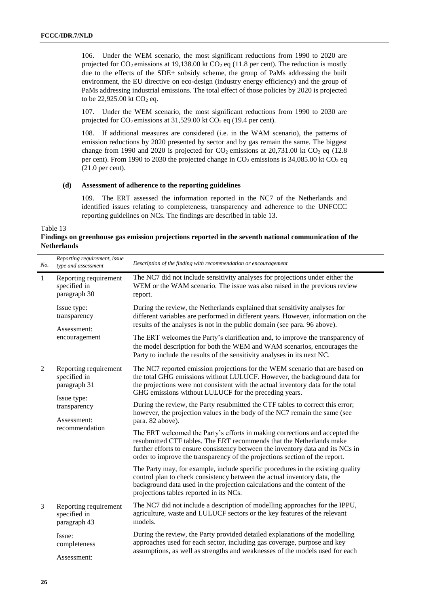106. Under the WEM scenario, the most significant reductions from 1990 to 2020 are projected for  $CO_2$  emissions at 19,138.00 kt  $CO_2$  eq (11.8 per cent). The reduction is mostly due to the effects of the SDE+ subsidy scheme, the group of PaMs addressing the built environment, the EU directive on eco-design (industry energy efficiency) and the group of PaMs addressing industrial emissions. The total effect of those policies by 2020 is projected to be  $22,925.00$  kt  $CO<sub>2</sub>$  eq.

107. Under the WEM scenario, the most significant reductions from 1990 to 2030 are projected for  $CO_2$  emissions at 31,529.00 kt  $CO_2$  eq (19.4 per cent).

108. If additional measures are considered (i.e. in the WAM scenario), the patterns of emission reductions by 2020 presented by sector and by gas remain the same. The biggest change from 1990 and 2020 is projected for  $CO_2$  emissions at 20,731.00 kt  $CO_2$  eq (12.8) per cent). From 1990 to 2030 the projected change in  $CO_2$  emissions is 34,085.00 kt  $CO_2$  eq (21.0 per cent).

## **(d) Assessment of adherence to the reporting guidelines**

109. The ERT assessed the information reported in the NC7 of the Netherlands and identified issues relating to completeness, transparency and adherence to the UNFCCC reporting guidelines on NCs. The findings are described in table 13.

Table 13

**Findings on greenhouse gas emission projections reported in the seventh national communication of the Netherlands**

| No.            | Reporting requirement, issue<br>type and assessment          | Description of the finding with recommendation or encouragement                                                                                                                                                                                                                                                       |
|----------------|--------------------------------------------------------------|-----------------------------------------------------------------------------------------------------------------------------------------------------------------------------------------------------------------------------------------------------------------------------------------------------------------------|
| $\mathbf{1}$   | Reporting requirement<br>specified in<br>paragraph 30        | The NC7 did not include sensitivity analyses for projections under either the<br>WEM or the WAM scenario. The issue was also raised in the previous review<br>report.                                                                                                                                                 |
|                | Issue type:<br>transparency                                  | During the review, the Netherlands explained that sensitivity analyses for<br>different variables are performed in different years. However, information on the<br>results of the analyses is not in the public domain (see para. 96 above).                                                                          |
|                | Assessment:<br>encouragement                                 | The ERT welcomes the Party's clarification and, to improve the transparency of<br>the model description for both the WEM and WAM scenarios, encourages the<br>Party to include the results of the sensitivity analyses in its next NC.                                                                                |
| $\overline{2}$ | Reporting requirement<br>specified in<br>paragraph 31        | The NC7 reported emission projections for the WEM scenario that are based on<br>the total GHG emissions without LULUCF. However, the background data for<br>the projections were not consistent with the actual inventory data for the total<br>GHG emissions without LULUCF for the preceding years.                 |
|                | Issue type:<br>transparency<br>Assessment:<br>recommendation | During the review, the Party resubmitted the CTF tables to correct this error;<br>however, the projection values in the body of the NC7 remain the same (see<br>para. 82 above).                                                                                                                                      |
|                |                                                              | The ERT welcomed the Party's efforts in making corrections and accepted the<br>resubmitted CTF tables. The ERT recommends that the Netherlands make<br>further efforts to ensure consistency between the inventory data and its NCs in<br>order to improve the transparency of the projections section of the report. |
|                |                                                              | The Party may, for example, include specific procedures in the existing quality<br>control plan to check consistency between the actual inventory data, the<br>background data used in the projection calculations and the content of the<br>projections tables reported in its NCs.                                  |
| 3              | Reporting requirement<br>specified in<br>paragraph 43        | The NC7 did not include a description of modelling approaches for the IPPU,<br>agriculture, waste and LULUCF sectors or the key features of the relevant<br>models.                                                                                                                                                   |
|                | Issue:<br>completeness<br>Assessment:                        | During the review, the Party provided detailed explanations of the modelling<br>approaches used for each sector, including gas coverage, purpose and key<br>assumptions, as well as strengths and weaknesses of the models used for each                                                                              |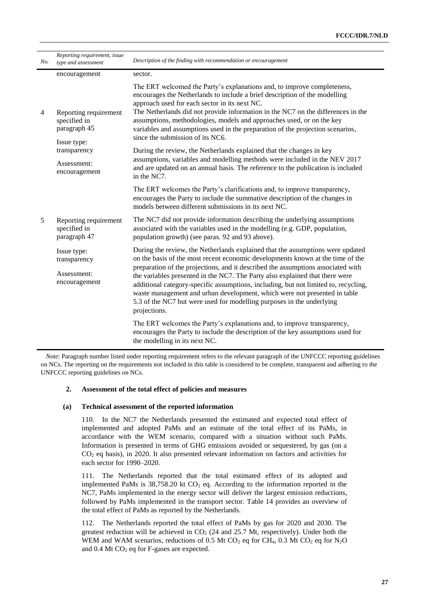| No.            | Reporting requirement, issue<br>type and assessment                  | Description of the finding with recommendation or encouragement                                                                                                                                                                                                                                                                                                                                                                                                                                                                                                                                   |
|----------------|----------------------------------------------------------------------|---------------------------------------------------------------------------------------------------------------------------------------------------------------------------------------------------------------------------------------------------------------------------------------------------------------------------------------------------------------------------------------------------------------------------------------------------------------------------------------------------------------------------------------------------------------------------------------------------|
|                | encouragement                                                        | sector.                                                                                                                                                                                                                                                                                                                                                                                                                                                                                                                                                                                           |
| $\overline{4}$ | Reporting requirement<br>specified in<br>paragraph 45<br>Issue type: | The ERT welcomed the Party's explanations and, to improve completeness,<br>encourages the Netherlands to include a brief description of the modelling<br>approach used for each sector in its next NC.<br>The Netherlands did not provide information in the NC7 on the differences in the<br>assumptions, methodologies, models and approaches used, or on the key<br>variables and assumptions used in the preparation of the projection scenarios,<br>since the submission of its NC6.                                                                                                         |
|                | transparency                                                         | During the review, the Netherlands explained that the changes in key                                                                                                                                                                                                                                                                                                                                                                                                                                                                                                                              |
|                | Assessment:<br>encouragement                                         | assumptions, variables and modelling methods were included in the NEV 2017<br>and are updated on an annual basis. The reference to the publication is included<br>in the NC7.                                                                                                                                                                                                                                                                                                                                                                                                                     |
|                |                                                                      | The ERT welcomes the Party's clarifications and, to improve transparency,<br>encourages the Party to include the summative description of the changes in<br>models between different submissions in its next NC.                                                                                                                                                                                                                                                                                                                                                                                  |
| 5              | Reporting requirement<br>specified in<br>paragraph 47                | The NC7 did not provide information describing the underlying assumptions<br>associated with the variables used in the modelling (e.g. GDP, population,<br>population growth) (see paras. 92 and 93 above).                                                                                                                                                                                                                                                                                                                                                                                       |
|                | Issue type:<br>transparency<br>Assessment:<br>encouragement          | During the review, the Netherlands explained that the assumptions were updated<br>on the basis of the most recent economic developments known at the time of the<br>preparation of the projections, and it described the assumptions associated with<br>the variables presented in the NC7. The Party also explained that there were<br>additional category-specific assumptions, including, but not limited to, recycling,<br>waste management and urban development, which were not presented in table<br>5.3 of the NC7 but were used for modelling purposes in the underlying<br>projections. |
|                |                                                                      | The ERT welcomes the Party's explanations and, to improve transparency,<br>encourages the Party to include the description of the key assumptions used for<br>the modelling in its next NC.                                                                                                                                                                                                                                                                                                                                                                                                       |

*Note*: Paragraph number listed under reporting requirement refers to the relevant paragraph of the UNFCCC reporting guidelines on NCs. The reporting on the requirements not included in this table is considered to be complete, transparent and adhering to the UNFCCC reporting guidelines on NCs.

## **2. Assessment of the total effect of policies and measures**

#### **(a) Technical assessment of the reported information**

110. In the NC7 the Netherlands presented the estimated and expected total effect of implemented and adopted PaMs and an estimate of the total effect of its PaMs, in accordance with the WEM scenario, compared with a situation without such PaMs. Information is presented in terms of GHG emissions avoided or sequestered, by gas (on a CO<sup>2</sup> eq basis), in 2020. It also presented relevant information on factors and activities for each sector for 1990–2020.

111. The Netherlands reported that the total estimated effect of its adopted and implemented PaMs is  $38,758.20$  kt  $CO<sub>2</sub>$  eq. According to the information reported in the NC7, PaMs implemented in the energy sector will deliver the largest emission reductions, followed by PaMs implemented in the transport sector. Table 14 provides an overview of the total effect of PaMs as reported by the Netherlands.

112. The Netherlands reported the total effect of PaMs by gas for 2020 and 2030. The greatest reduction will be achieved in  $CO<sub>2</sub>$  (24 and 25.7 Mt, respectively). Under both the WEM and WAM scenarios, reductions of 0.5 Mt CO<sub>2</sub> eq for CH<sub>4</sub>, 0.3 Mt CO<sub>2</sub> eq for N<sub>2</sub>O and  $0.4$  Mt CO<sub>2</sub> eq for F-gases are expected.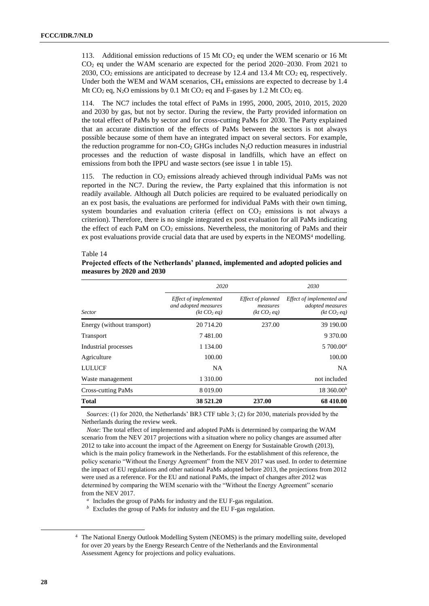Table 14

113. Additional emission reductions of 15 Mt  $CO<sub>2</sub>$  eq under the WEM scenario or 16 Mt CO<sup>2</sup> eq under the WAM scenario are expected for the period 2020–2030. From 2021 to 2030,  $CO<sub>2</sub>$  emissions are anticipated to decrease by 12.4 and 13.4 Mt  $CO<sub>2</sub>$  eq, respectively. Under both the WEM and WAM scenarios, CH<sup>4</sup> emissions are expected to decrease by 1.4 Mt CO<sub>2</sub> eq, N<sub>2</sub>O emissions by 0.1 Mt CO<sub>2</sub> eq and F-gases by 1.2 Mt CO<sub>2</sub> eq.

114. The NC7 includes the total effect of PaMs in 1995, 2000, 2005, 2010, 2015, 2020 and 2030 by gas, but not by sector. During the review, the Party provided information on the total effect of PaMs by sector and for cross-cutting PaMs for 2030. The Party explained that an accurate distinction of the effects of PaMs between the sectors is not always possible because some of them have an integrated impact on several sectors. For example, the reduction programme for non- $CO<sub>2</sub>$  GHGs includes N<sub>2</sub>O reduction measures in industrial processes and the reduction of waste disposal in landfills, which have an effect on emissions from both the IPPU and waste sectors (see issue 1 in table 15).

115. The reduction in  $CO<sub>2</sub>$  emissions already achieved through individual PaMs was not reported in the NC7. During the review, the Party explained that this information is not readily available. Although all Dutch policies are required to be evaluated periodically on an ex post basis, the evaluations are performed for individual PaMs with their own timing, system boundaries and evaluation criteria (effect on  $CO<sub>2</sub>$  emissions is not always a criterion). Therefore, there is no single integrated ex post evaluation for all PaMs indicating the effect of each PaM on  $CO_2$  emissions. Nevertheless, the monitoring of PaMs and their ex post evaluations provide crucial data that are used by experts in the NEOMS<sup>4</sup> modelling.

|                            | 2020                                                                     |                                                          |                                                                          |  |
|----------------------------|--------------------------------------------------------------------------|----------------------------------------------------------|--------------------------------------------------------------------------|--|
| <b>Sector</b>              | Effect of implemented<br>and adopted measures<br>(kt CO <sub>2</sub> eq) | Effect of planned<br>measures<br>(kt CO <sub>2</sub> eq) | Effect of implemented and<br>adopted measures<br>(kt CO <sub>2</sub> eq) |  |
| Energy (without transport) | 20 714.20                                                                | 237.00                                                   | 39 190.00                                                                |  |
| <b>Transport</b>           | 7481.00                                                                  |                                                          | 9 370.00                                                                 |  |
| Industrial processes       | 1 134.00                                                                 |                                                          | $5700.00^a$                                                              |  |
| Agriculture                | 100.00                                                                   |                                                          | 100.00                                                                   |  |
| <b>LULUCF</b>              | NA.                                                                      |                                                          | <b>NA</b>                                                                |  |
| Waste management           | 1 310.00                                                                 |                                                          | not included                                                             |  |
| Cross-cutting PaMs         | 8 019.00                                                                 |                                                          | 18360.00 <sup>b</sup>                                                    |  |
| <b>Total</b>               | 38 521.20                                                                | 237.00                                                   | 68 410.00                                                                |  |

## **Projected effects of the Netherlands' planned, implemented and adopted policies and measures by 2020 and 2030**

*Sources*: (1) for 2020, the Netherlands' BR3 CTF table 3; (2) for 2030, materials provided by the Netherlands during the review week.

*Note*: The total effect of implemented and adopted PaMs is determined by comparing the WAM scenario from the NEV 2017 projections with a situation where no policy changes are assumed after 2012 to take into account the impact of the Agreement on Energy for Sustainable Growth (2013), which is the main policy framework in the Netherlands. For the establishment of this reference, the policy scenario "Without the Energy Agreement" from the NEV 2017 was used. In order to determine the impact of EU regulations and other national PaMs adopted before 2013, the projections from 2012 were used as a reference. For the EU and national PaMs, the impact of changes after 2012 was determined by comparing the WEM scenario with the "Without the Energy Agreement" scenario from the NEV 2017.

<sup>*a*</sup> Includes the group of PaMs for industry and the EU F-gas regulation.

 $\bar{b}$  Excludes the group of PaMs for industry and the EU F-gas regulation.

-

<sup>4</sup> The National Energy Outlook Modelling System (NEOMS) is the primary modelling suite, developed for over 20 years by the Energy Research Centre of the Netherlands and the Environmental Assessment Agency for projections and policy evaluations.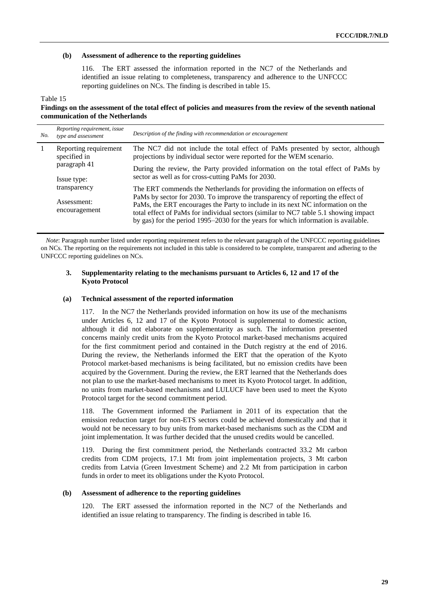#### **(b) Assessment of adherence to the reporting guidelines**

116. The ERT assessed the information reported in the NC7 of the Netherlands and identified an issue relating to completeness, transparency and adherence to the UNFCCC reporting guidelines on NCs. The finding is described in table 15.

#### Table 15

## **Findings on the assessment of the total effect of policies and measures from the review of the seventh national communication of the Netherlands**

| No. | Reporting requirement, issue<br>type and assessment | Description of the finding with recommendation or encouragement                                                                                                                                                                                               |
|-----|-----------------------------------------------------|---------------------------------------------------------------------------------------------------------------------------------------------------------------------------------------------------------------------------------------------------------------|
|     | Reporting requirement<br>specified in               | The NC7 did not include the total effect of PaMs presented by sector, although<br>projections by individual sector were reported for the WEM scenario.                                                                                                        |
|     | paragraph 41<br>Issue type:                         | During the review, the Party provided information on the total effect of PaMs by<br>sector as well as for cross-cutting PaMs for 2030.                                                                                                                        |
|     | transparency<br>Assessment:<br>encouragement        | The ERT commends the Netherlands for providing the information on effects of<br>PaMs by sector for 2030. To improve the transparency of reporting the effect of                                                                                               |
|     |                                                     | PaMs, the ERT encourages the Party to include in its next NC information on the<br>total effect of PaMs for individual sectors (similar to NC7 table 5.1 showing impact<br>by gas) for the period 1995–2030 for the years for which information is available. |

*Note*: Paragraph number listed under reporting requirement refers to the relevant paragraph of the UNFCCC reporting guidelines on NCs. The reporting on the requirements not included in this table is considered to be complete, transparent and adhering to the UNFCCC reporting guidelines on NCs.

## **3. Supplementarity relating to the mechanisms pursuant to Articles 6, 12 and 17 of the Kyoto Protocol**

#### **(a) Technical assessment of the reported information**

117. In the NC7 the Netherlands provided information on how its use of the mechanisms under Articles 6, 12 and 17 of the Kyoto Protocol is supplemental to domestic action, although it did not elaborate on supplementarity as such. The information presented concerns mainly credit units from the Kyoto Protocol market-based mechanisms acquired for the first commitment period and contained in the Dutch registry at the end of 2016. During the review, the Netherlands informed the ERT that the operation of the Kyoto Protocol market-based mechanisms is being facilitated, but no emission credits have been acquired by the Government. During the review, the ERT learned that the Netherlands does not plan to use the market-based mechanisms to meet its Kyoto Protocol target. In addition, no units from market-based mechanisms and LULUCF have been used to meet the Kyoto Protocol target for the second commitment period.

118. The Government informed the Parliament in 2011 of its expectation that the emission reduction target for non-ETS sectors could be achieved domestically and that it would not be necessary to buy units from market-based mechanisms such as the CDM and joint implementation. It was further decided that the unused credits would be cancelled.

119. During the first commitment period, the Netherlands contracted 33.2 Mt carbon credits from CDM projects, 17.1 Mt from joint implementation projects, 3 Mt carbon credits from Latvia (Green Investment Scheme) and 2.2 Mt from participation in carbon funds in order to meet its obligations under the Kyoto Protocol.

## **(b) Assessment of adherence to the reporting guidelines**

120. The ERT assessed the information reported in the NC7 of the Netherlands and identified an issue relating to transparency. The finding is described in table 16.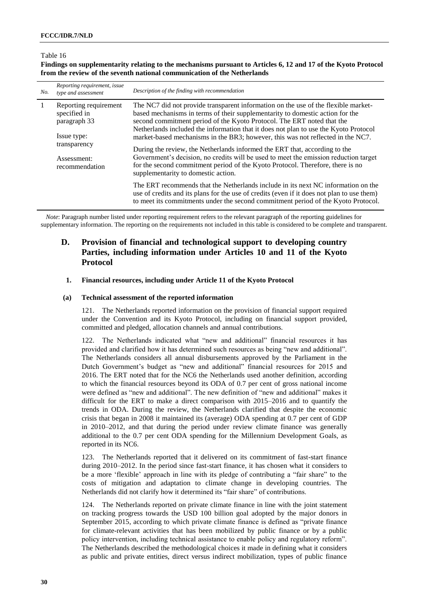#### Table 16

**Findings on supplementarity relating to the mechanisms pursuant to Articles 6, 12 and 17 of the Kyoto Protocol from the review of the seventh national communication of the Netherlands**

| No. | Reporting requirement, issue<br>type and assessment   | Description of the finding with recommendation                                                                                                                                                                                                                                                                                        |
|-----|-------------------------------------------------------|---------------------------------------------------------------------------------------------------------------------------------------------------------------------------------------------------------------------------------------------------------------------------------------------------------------------------------------|
| -1  | Reporting requirement<br>specified in<br>paragraph 33 | The NC7 did not provide transparent information on the use of the flexible market-<br>based mechanisms in terms of their supplementarity to domestic action for the<br>second commitment period of the Kyoto Protocol. The ERT noted that the<br>Netherlands included the information that it does not plan to use the Kyoto Protocol |
|     | Issue type:<br>transparency                           | market-based mechanisms in the BR3; however, this was not reflected in the NC7.                                                                                                                                                                                                                                                       |
|     | Assessment:<br>recommendation                         | During the review, the Netherlands informed the ERT that, according to the<br>Government's decision, no credits will be used to meet the emission reduction target<br>for the second commitment period of the Kyoto Protocol. Therefore, there is no<br>supplementarity to domestic action.                                           |
|     |                                                       | The ERT recommends that the Netherlands include in its next NC information on the<br>use of credits and its plans for the use of credits (even if it does not plan to use them)<br>to meet its commitments under the second commitment period of the Kyoto Protocol.                                                                  |

*Note*: Paragraph number listed under reporting requirement refers to the relevant paragraph of the reporting guidelines for supplementary information. The reporting on the requirements not included in this table is considered to be complete and transparent.

## **D. Provision of financial and technological support to developing country Parties, including information under Articles 10 and 11 of the Kyoto Protocol**

#### **1. Financial resources, including under Article 11 of the Kyoto Protocol**

#### **(a) Technical assessment of the reported information**

121. The Netherlands reported information on the provision of financial support required under the Convention and its Kyoto Protocol, including on financial support provided, committed and pledged, allocation channels and annual contributions.

122. The Netherlands indicated what "new and additional" financial resources it has provided and clarified how it has determined such resources as being "new and additional". The Netherlands considers all annual disbursements approved by the Parliament in the Dutch Government's budget as "new and additional" financial resources for 2015 and 2016. The ERT noted that for the NC6 the Netherlands used another definition, according to which the financial resources beyond its ODA of 0.7 per cent of gross national income were defined as "new and additional". The new definition of "new and additional" makes it difficult for the ERT to make a direct comparison with 2015–2016 and to quantify the trends in ODA. During the review, the Netherlands clarified that despite the economic crisis that began in 2008 it maintained its (average) ODA spending at 0.7 per cent of GDP in 2010–2012, and that during the period under review climate finance was generally additional to the 0.7 per cent ODA spending for the Millennium Development Goals, as reported in its NC6.

123. The Netherlands reported that it delivered on its commitment of fast-start finance during 2010–2012. In the period since fast-start finance, it has chosen what it considers to be a more 'flexible' approach in line with its pledge of contributing a "fair share" to the costs of mitigation and adaptation to climate change in developing countries. The Netherlands did not clarify how it determined its "fair share" of contributions.

124. The Netherlands reported on private climate finance in line with the joint statement on tracking progress towards the USD 100 billion goal adopted by the major donors in September 2015, according to which private climate finance is defined as "private finance for climate-relevant activities that has been mobilized by public finance or by a public policy intervention, including technical assistance to enable policy and regulatory reform". The Netherlands described the methodological choices it made in defining what it considers as public and private entities, direct versus indirect mobilization, types of public finance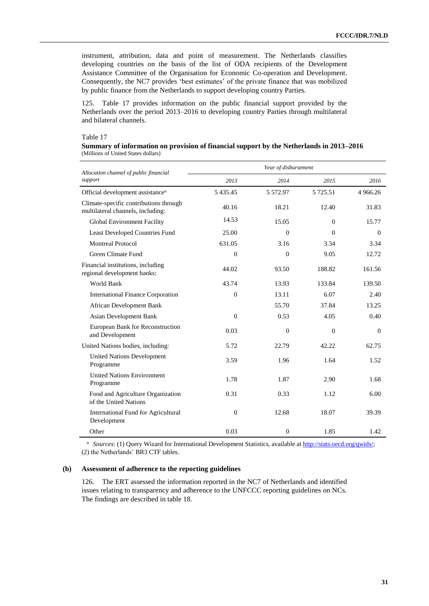instrument, attribution, data and point of measurement. The Netherlands classifies developing countries on the basis of the list of ODA recipients of the Development Assistance Committee of the Organisation for Economic Co-operation and Development. Consequently, the NC7 provides 'best estimates' of the private finance that was mobilized by public finance from the Netherlands to support developing country Parties.

125. Table 17 provides information on the public financial support provided by the Netherlands over the period 2013–2016 to developing country Parties through multilateral and bilateral channels.

## Table 17

| Summary of information on provision of financial support by the Netherlands in 2013–2016 |  |  |
|------------------------------------------------------------------------------------------|--|--|
| (Millions of United States dollars)                                                      |  |  |

| Allocation channel of public financial                                      | Year of disbursement |              |             |          |
|-----------------------------------------------------------------------------|----------------------|--------------|-------------|----------|
| support                                                                     | 2013                 | 2014         | 2015        | 2016     |
| Official development assistance <sup>a</sup>                                | 5 4 3 5 4 5          | 5 5 7 2.9 7  | 5 7 2 5 .51 | 4 966.26 |
| Climate-specific contributions through<br>multilateral channels, including: | 40.16                | 18.21        | 12.40       | 31.83    |
| Global Environment Facility                                                 | 14.53                | 15.05        | $\Omega$    | 15.77    |
| <b>Least Developed Countries Fund</b>                                       | 25.00                | $\theta$     | $\Omega$    | $\Omega$ |
| <b>Montreal Protocol</b>                                                    | 631.05               | 3.16         | 3.34        | 3.34     |
| Green Climate Fund                                                          | $\Omega$             | $\Omega$     | 9.05        | 12.72    |
| Financial institutions, including<br>regional development banks:            | 44.02                | 93.50        | 188.82      | 161.56   |
| World Bank                                                                  | 43.74                | 13.93        | 133.84      | 139.50   |
| <b>International Finance Corporation</b>                                    | $\overline{0}$       | 13.11        | 6.07        | 2.40     |
| African Development Bank                                                    |                      | 55.70        | 37.84       | 13.25    |
| Asian Development Bank                                                      | $\overline{0}$       | 0.53         | 4.05        | 0.40     |
| European Bank for Reconstruction<br>and Development                         | 0.03                 | $\mathbf{0}$ | $\theta$    | $\theta$ |
| United Nations bodies, including:                                           | 5.72                 | 22.79        | 42.22       | 62.75    |
| <b>United Nations Development</b><br>Programme                              | 3.59                 | 1.96         | 1.64        | 1.52     |
| <b>United Nations Environment</b><br>Programme                              | 1.78                 | 1.87         | 2.90        | 1.68     |
| Food and Agriculture Organization<br>of the United Nations                  | 0.31                 | 0.33         | 1.12        | 6.00     |
| International Fund for Agricultural<br>Development                          | $\theta$             | 12.68        | 18.07       | 39.39    |
| Other                                                                       | 0.03                 | $\mathbf{0}$ | 1.85        | 1.42     |

*<sup>a</sup>Sources*: (1) Query Wizard for International Development Statistics, available a[t http://stats.oecd.org/qwids/;](http://stats.oecd.org/qwids/) (2) the Netherlands' BR3 CTF tables.

#### **(b) Assessment of adherence to the reporting guidelines**

126. The ERT assessed the information reported in the NC7 of Netherlands and identified issues relating to transparency and adherence to the UNFCCC reporting guidelines on NCs. The findings are described in table 18.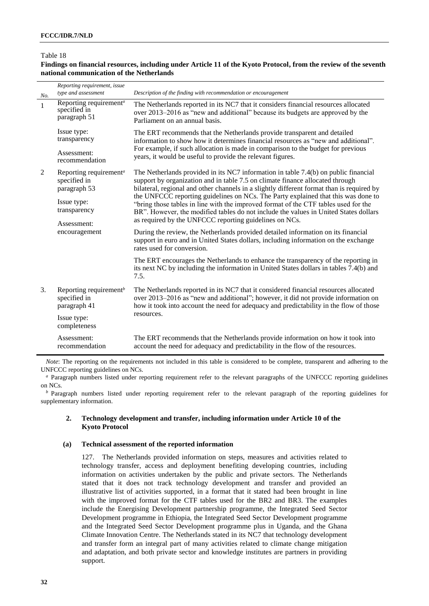### Table 18

## **Findings on financial resources, including under Article 11 of the Kyoto Protocol, from the review of the seventh national communication of the Netherlands**

| No. | Reporting requirement, issue<br>type and assessment                | Description of the finding with recommendation or encouragement                                                                                                                                                                                                                                                            |
|-----|--------------------------------------------------------------------|----------------------------------------------------------------------------------------------------------------------------------------------------------------------------------------------------------------------------------------------------------------------------------------------------------------------------|
| 1   | Reporting requirement <sup>a</sup><br>specified in<br>paragraph 51 | The Netherlands reported in its NC7 that it considers financial resources allocated<br>over 2013–2016 as "new and additional" because its budgets are approved by the<br>Parliament on an annual basis.                                                                                                                    |
|     | Issue type:<br>transparency                                        | The ERT recommends that the Netherlands provide transparent and detailed<br>information to show how it determines financial resources as "new and additional".                                                                                                                                                             |
|     | Assessment:<br>recommendation                                      | For example, if such allocation is made in comparison to the budget for previous<br>years, it would be useful to provide the relevant figures.                                                                                                                                                                             |
| 2   | Reporting requirement <sup>a</sup><br>specified in<br>paragraph 53 | The Netherlands provided in its NC7 information in table 7.4(b) on public financial<br>support by organization and in table 7.5 on climate finance allocated through<br>bilateral, regional and other channels in a slightly different format than is required by                                                          |
|     | Issue type:<br>transparency<br>Assessment:                         | the UNFCCC reporting guidelines on NCs. The Party explained that this was done to<br>"bring those tables in line with the improved format of the CTF tables used for the<br>BR". However, the modified tables do not include the values in United States dollars<br>as required by the UNFCCC reporting guidelines on NCs. |
|     | encouragement                                                      | During the review, the Netherlands provided detailed information on its financial<br>support in euro and in United States dollars, including information on the exchange<br>rates used for conversion.                                                                                                                     |
|     |                                                                    | The ERT encourages the Netherlands to enhance the transparency of the reporting in<br>its next NC by including the information in United States dollars in tables 7.4(b) and<br>7.5.                                                                                                                                       |
| 3.  | Reporting requirement <sup>b</sup><br>specified in<br>paragraph 41 | The Netherlands reported in its NC7 that it considered financial resources allocated<br>over 2013–2016 as "new and additional"; however, it did not provide information on<br>how it took into account the need for adequacy and predictability in the flow of those                                                       |
|     | Issue type:<br>completeness                                        | resources.                                                                                                                                                                                                                                                                                                                 |
|     | Assessment:<br>recommendation                                      | The ERT recommends that the Netherlands provide information on how it took into<br>account the need for adequacy and predictability in the flow of the resources.                                                                                                                                                          |

*Note*: The reporting on the requirements not included in this table is considered to be complete, transparent and adhering to the UNFCCC reporting guidelines on NCs.

*<sup>a</sup>* Paragraph numbers listed under reporting requirement refer to the relevant paragraphs of the UNFCCC reporting guidelines on NCs.

*b* Paragraph numbers listed under reporting requirement refer to the relevant paragraph of the reporting guidelines for supplementary information.

#### **2. Technology development and transfer, including information under Article 10 of the Kyoto Protocol**

#### **(a) Technical assessment of the reported information**

127. The Netherlands provided information on steps, measures and activities related to technology transfer, access and deployment benefiting developing countries, including information on activities undertaken by the public and private sectors. The Netherlands stated that it does not track technology development and transfer and provided an illustrative list of activities supported, in a format that it stated had been brought in line with the improved format for the CTF tables used for the BR2 and BR3. The examples include the Energising Development partnership programme, the Integrated Seed Sector Development programme in Ethiopia, the Integrated Seed Sector Development programme and the Integrated Seed Sector Development programme plus in Uganda, and the Ghana Climate Innovation Centre. The Netherlands stated in its NC7 that technology development and transfer form an integral part of many activities related to climate change mitigation and adaptation, and both private sector and knowledge institutes are partners in providing support.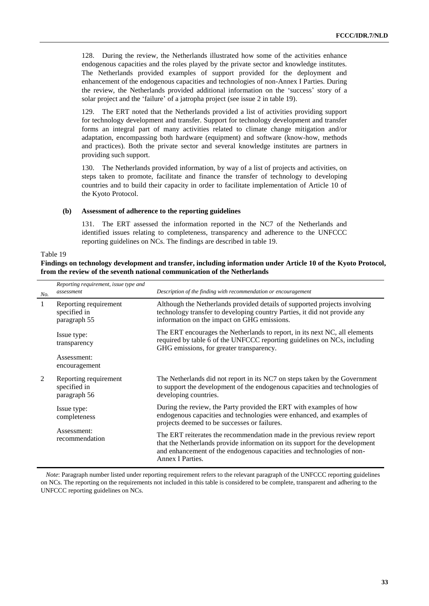128. During the review, the Netherlands illustrated how some of the activities enhance endogenous capacities and the roles played by the private sector and knowledge institutes. The Netherlands provided examples of support provided for the deployment and enhancement of the endogenous capacities and technologies of non-Annex I Parties. During the review, the Netherlands provided additional information on the 'success' story of a solar project and the 'failure' of a jatropha project (see issue 2 in table 19).

129. The ERT noted that the Netherlands provided a list of activities providing support for technology development and transfer. Support for technology development and transfer forms an integral part of many activities related to climate change mitigation and/or adaptation, encompassing both hardware (equipment) and software (know-how, methods and practices). Both the private sector and several knowledge institutes are partners in providing such support.

130. The Netherlands provided information, by way of a list of projects and activities, on steps taken to promote, facilitate and finance the transfer of technology to developing countries and to build their capacity in order to facilitate implementation of Article 10 of the Kyoto Protocol.

#### **(b) Assessment of adherence to the reporting guidelines**

131. The ERT assessed the information reported in the NC7 of the Netherlands and identified issues relating to completeness, transparency and adherence to the UNFCCC reporting guidelines on NCs. The findings are described in table 19.

#### Table 19

**Findings on technology development and transfer, including information under Article 10 of the Kyoto Protocol, from the review of the seventh national communication of the Netherlands**

| No. | Reporting requirement, issue type and<br>assessment   | Description of the finding with recommendation or encouragement                                                                                                                                                                                      |
|-----|-------------------------------------------------------|------------------------------------------------------------------------------------------------------------------------------------------------------------------------------------------------------------------------------------------------------|
| 1   | Reporting requirement<br>specified in<br>paragraph 55 | Although the Netherlands provided details of supported projects involving<br>technology transfer to developing country Parties, it did not provide any<br>information on the impact on GHG emissions.                                                |
|     | Issue type:<br>transparency                           | The ERT encourages the Netherlands to report, in its next NC, all elements<br>required by table 6 of the UNFCCC reporting guidelines on NCs, including<br>GHG emissions, for greater transparency.                                                   |
|     | Assessment:<br>encouragement                          |                                                                                                                                                                                                                                                      |
| 2   | Reporting requirement<br>specified in<br>paragraph 56 | The Netherlands did not report in its NC7 on steps taken by the Government<br>to support the development of the endogenous capacities and technologies of<br>developing countries.                                                                   |
|     | Issue type:<br>completeness                           | During the review, the Party provided the ERT with examples of how<br>endogenous capacities and technologies were enhanced, and examples of<br>projects deemed to be successes or failures.                                                          |
|     | Assessment:<br>recommendation                         | The ERT reiterates the recommendation made in the previous review report<br>that the Netherlands provide information on its support for the development<br>and enhancement of the endogenous capacities and technologies of non-<br>Annex I Parties. |

*Note*: Paragraph number listed under reporting requirement refers to the relevant paragraph of the UNFCCC reporting guidelines on NCs. The reporting on the requirements not included in this table is considered to be complete, transparent and adhering to the UNFCCC reporting guidelines on NCs.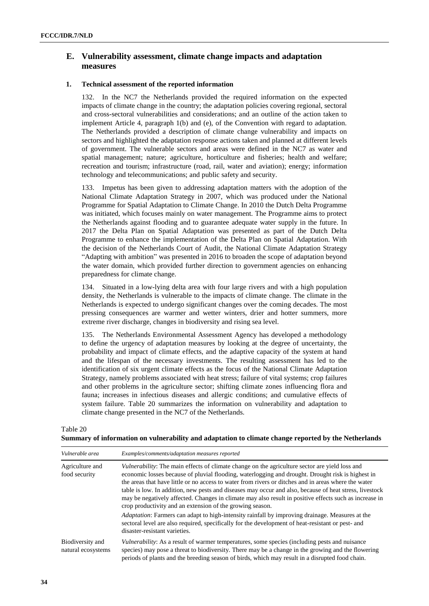## **E. Vulnerability assessment, climate change impacts and adaptation measures**

#### **1. Technical assessment of the reported information**

132. In the NC7 the Netherlands provided the required information on the expected impacts of climate change in the country; the adaptation policies covering regional, sectoral and cross-sectoral vulnerabilities and considerations; and an outline of the action taken to implement Article 4, paragraph 1(b) and (e), of the Convention with regard to adaptation. The Netherlands provided a description of climate change vulnerability and impacts on sectors and highlighted the adaptation response actions taken and planned at different levels of government. The vulnerable sectors and areas were defined in the NC7 as water and spatial management; nature; agriculture, horticulture and fisheries; health and welfare; recreation and tourism; infrastructure (road, rail, water and aviation); energy; information technology and telecommunications; and public safety and security.

133. Impetus has been given to addressing adaptation matters with the adoption of the National Climate Adaptation Strategy in 2007, which was produced under the National Programme for Spatial Adaptation to Climate Change. In 2010 the Dutch Delta Programme was initiated, which focuses mainly on water management. The Programme aims to protect the Netherlands against flooding and to guarantee adequate water supply in the future. In 2017 the Delta Plan on Spatial Adaptation was presented as part of the Dutch Delta Programme to enhance the implementation of the Delta Plan on Spatial Adaptation. With the decision of the Netherlands Court of Audit, the National Climate Adaptation Strategy "Adapting with ambition" was presented in 2016 to broaden the scope of adaptation beyond the water domain, which provided further direction to government agencies on enhancing preparedness for climate change.

134. Situated in a low-lying delta area with four large rivers and with a high population density, the Netherlands is vulnerable to the impacts of climate change. The climate in the Netherlands is expected to undergo significant changes over the coming decades. The most pressing consequences are warmer and wetter winters, drier and hotter summers, more extreme river discharge, changes in biodiversity and rising sea level.

135. The Netherlands Environmental Assessment Agency has developed a methodology to define the urgency of adaptation measures by looking at the degree of uncertainty, the probability and impact of climate effects, and the adaptive capacity of the system at hand and the lifespan of the necessary investments. The resulting assessment has led to the identification of six urgent climate effects as the focus of the National Climate Adaptation Strategy, namely problems associated with heat stress; failure of vital systems; crop failures and other problems in the agriculture sector; shifting climate zones influencing flora and fauna; increases in infectious diseases and allergic conditions; and cumulative effects of system failure. Table 20 summarizes the information on vulnerability and adaptation to climate change presented in the NC7 of the Netherlands.

| Table 20                                                                                             |  |  |
|------------------------------------------------------------------------------------------------------|--|--|
| Summary of information on vulnerability and adaptation to climate change reported by the Netherlands |  |  |

| Vulnerable area                        | Examples/comments/adaptation measures reported                                                                                                                                                                                                                                                                                                                                                                                                                                                                                                                                                       |  |  |
|----------------------------------------|------------------------------------------------------------------------------------------------------------------------------------------------------------------------------------------------------------------------------------------------------------------------------------------------------------------------------------------------------------------------------------------------------------------------------------------------------------------------------------------------------------------------------------------------------------------------------------------------------|--|--|
| Agriculture and<br>food security       | <i>Vulnerability:</i> The main effects of climate change on the agriculture sector are yield loss and<br>economic losses because of pluvial flooding, waterlogging and drought. Drought risk is highest in<br>the areas that have little or no access to water from rivers or ditches and in areas where the water<br>table is low. In addition, new pests and diseases may occur and also, because of heat stress, livestock<br>may be negatively affected. Changes in climate may also result in positive effects such as increase in<br>crop productivity and an extension of the growing season. |  |  |
|                                        | <i>Adaptation:</i> Farmers can adapt to high-intensity rainfall by improving drainage. Measures at the<br>sectoral level are also required, specifically for the development of heat-resistant or pest- and<br>disaster-resistant varieties.                                                                                                                                                                                                                                                                                                                                                         |  |  |
| Biodiversity and<br>natural ecosystems | Vulnerability: As a result of warmer temperatures, some species (including pests and nuisance<br>species) may pose a threat to biodiversity. There may be a change in the growing and the flowering<br>periods of plants and the breeding season of birds, which may result in a disrupted food chain.                                                                                                                                                                                                                                                                                               |  |  |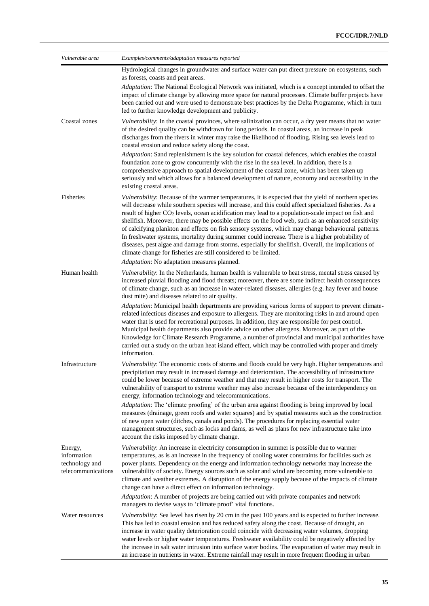| Vulnerable area                                                | Examples/comments/adaptation measures reported                                                                                                                                                                                                                                                                                                                                                                                                                                                                                                                                                                                                                                                                                                                                                                             |
|----------------------------------------------------------------|----------------------------------------------------------------------------------------------------------------------------------------------------------------------------------------------------------------------------------------------------------------------------------------------------------------------------------------------------------------------------------------------------------------------------------------------------------------------------------------------------------------------------------------------------------------------------------------------------------------------------------------------------------------------------------------------------------------------------------------------------------------------------------------------------------------------------|
|                                                                | Hydrological changes in groundwater and surface water can put direct pressure on ecosystems, such<br>as forests, coasts and peat areas.                                                                                                                                                                                                                                                                                                                                                                                                                                                                                                                                                                                                                                                                                    |
|                                                                | Adaptation: The National Ecological Network was initiated, which is a concept intended to offset the<br>impact of climate change by allowing more space for natural processes. Climate buffer projects have<br>been carried out and were used to demonstrate best practices by the Delta Programme, which in turn<br>led to further knowledge development and publicity.                                                                                                                                                                                                                                                                                                                                                                                                                                                   |
| Coastal zones                                                  | Vulnerability: In the coastal provinces, where salinization can occur, a dry year means that no water<br>of the desired quality can be withdrawn for long periods. In coastal areas, an increase in peak<br>discharges from the rivers in winter may raise the likelihood of flooding. Rising sea levels lead to<br>coastal erosion and reduce safety along the coast.                                                                                                                                                                                                                                                                                                                                                                                                                                                     |
|                                                                | Adaptation: Sand replenishment is the key solution for coastal defences, which enables the coastal<br>foundation zone to grow concurrently with the rise in the sea level. In addition, there is a<br>comprehensive approach to spatial development of the coastal zone, which has been taken up<br>seriously and which allows for a balanced development of nature, economy and accessibility in the<br>existing coastal areas.                                                                                                                                                                                                                                                                                                                                                                                           |
| <b>Fisheries</b>                                               | Vulnerability: Because of the warmer temperatures, it is expected that the yield of northern species<br>will decrease while southern species will increase, and this could affect specialized fisheries. As a<br>result of higher CO <sub>2</sub> levels, ocean acidification may lead to a population-scale impact on fish and<br>shellfish. Moreover, there may be possible effects on the food web, such as an enhanced sensitivity<br>of calcifying plankton and effects on fish sensory systems, which may change behavioural patterns.<br>In freshwater systems, mortality during summer could increase. There is a higher probability of<br>diseases, pest algae and damage from storms, especially for shellfish. Overall, the implications of<br>climate change for fisheries are still considered to be limited. |
|                                                                | Adaptation: No adaptation measures planned.                                                                                                                                                                                                                                                                                                                                                                                                                                                                                                                                                                                                                                                                                                                                                                                |
| Human health                                                   | Vulnerability: In the Netherlands, human health is vulnerable to heat stress, mental stress caused by<br>increased pluvial flooding and flood threats; moreover, there are some indirect health consequences<br>of climate change, such as an increase in water-related diseases, allergies (e.g. hay fever and house<br>dust mite) and diseases related to air quality.                                                                                                                                                                                                                                                                                                                                                                                                                                                   |
|                                                                | Adaptation: Municipal health departments are providing various forms of support to prevent climate-<br>related infectious diseases and exposure to allergens. They are monitoring risks in and around open<br>water that is used for recreational purposes. In addition, they are responsible for pest control.<br>Municipal health departments also provide advice on other allergens. Moreover, as part of the<br>Knowledge for Climate Research Programme, a number of provincial and municipal authorities have<br>carried out a study on the urban heat island effect, which may be controlled with proper and timely<br>information.                                                                                                                                                                                 |
| Infrastructure                                                 | Vulnerability: The economic costs of storms and floods could be very high. Higher temperatures and<br>precipitation may result in increased damage and deterioration. The accessibility of infrastructure<br>could be lower because of extreme weather and that may result in higher costs for transport. The<br>vulnerability of transport to extreme weather may also increase because of the interdependency on<br>energy, information technology and telecommunications.                                                                                                                                                                                                                                                                                                                                               |
|                                                                | Adaptation: The 'climate proofing' of the urban area against flooding is being improved by local<br>measures (drainage, green roofs and water squares) and by spatial measures such as the construction<br>of new open water (ditches, canals and ponds). The procedures for replacing essential water<br>management structures, such as locks and dams, as well as plans for new infrastructure take into<br>account the risks imposed by climate change.                                                                                                                                                                                                                                                                                                                                                                 |
| Energy,<br>information<br>technology and<br>telecommunications | Vulnerability: An increase in electricity consumption in summer is possible due to warmer<br>temperatures, as is an increase in the frequency of cooling water constraints for facilities such as<br>power plants. Dependency on the energy and information technology networks may increase the<br>vulnerability of society. Energy sources such as solar and wind are becoming more vulnerable to<br>climate and weather extremes. A disruption of the energy supply because of the impacts of climate<br>change can have a direct effect on information technology.                                                                                                                                                                                                                                                     |
|                                                                | Adaptation: A number of projects are being carried out with private companies and network<br>managers to devise ways to 'climate proof' vital functions.                                                                                                                                                                                                                                                                                                                                                                                                                                                                                                                                                                                                                                                                   |
| Water resources                                                | Vulnerability: Sea level has risen by 20 cm in the past 100 years and is expected to further increase.<br>This has led to coastal erosion and has reduced safety along the coast. Because of drought, an<br>increase in water quality deterioration could coincide with decreasing water volumes, dropping<br>water levels or higher water temperatures. Freshwater availability could be negatively affected by<br>the increase in salt water intrusion into surface water bodies. The evaporation of water may result in<br>an increase in nutrients in water. Extreme rainfall may result in more frequent flooding in urban                                                                                                                                                                                            |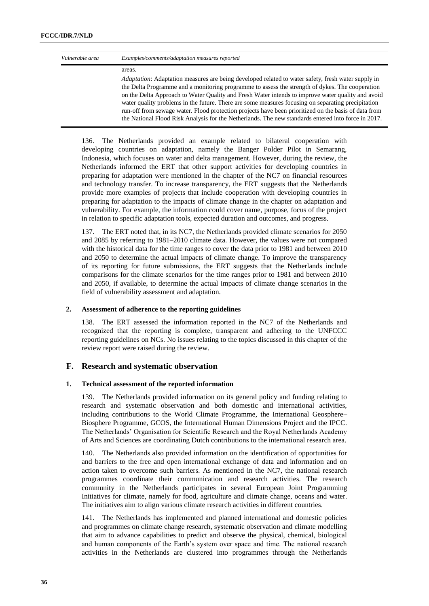| Vulnerable area | Examples/comments/adaptation measures reported                                                                                                                                                                                                                                                                                                                                                                                                                                                                                                                                                                                         |
|-----------------|----------------------------------------------------------------------------------------------------------------------------------------------------------------------------------------------------------------------------------------------------------------------------------------------------------------------------------------------------------------------------------------------------------------------------------------------------------------------------------------------------------------------------------------------------------------------------------------------------------------------------------------|
|                 | areas.                                                                                                                                                                                                                                                                                                                                                                                                                                                                                                                                                                                                                                 |
|                 | <i>Adaptation:</i> Adaptation measures are being developed related to water safety, fresh water supply in<br>the Delta Programme and a monitoring programme to assess the strength of dykes. The cooperation<br>on the Delta Approach to Water Quality and Fresh Water intends to improve water quality and avoid<br>water quality problems in the future. There are some measures focusing on separating precipitation<br>run-off from sewage water. Flood protection projects have been prioritized on the basis of data from<br>the National Flood Risk Analysis for the Netherlands. The new standards entered into force in 2017. |

136. The Netherlands provided an example related to bilateral cooperation with developing countries on adaptation, namely the Banger Polder Pilot in Semarang, Indonesia, which focuses on water and delta management. However, during the review, the Netherlands informed the ERT that other support activities for developing countries in preparing for adaptation were mentioned in the chapter of the NC7 on financial resources and technology transfer. To increase transparency, the ERT suggests that the Netherlands provide more examples of projects that include cooperation with developing countries in preparing for adaptation to the impacts of climate change in the chapter on adaptation and vulnerability. For example, the information could cover name, purpose, focus of the project in relation to specific adaptation tools, expected duration and outcomes, and progress.

137. The ERT noted that, in its NC7, the Netherlands provided climate scenarios for 2050 and 2085 by referring to 1981–2010 climate data. However, the values were not compared with the historical data for the time ranges to cover the data prior to 1981 and between 2010 and 2050 to determine the actual impacts of climate change. To improve the transparency of its reporting for future submissions, the ERT suggests that the Netherlands include comparisons for the climate scenarios for the time ranges prior to 1981 and between 2010 and 2050, if available, to determine the actual impacts of climate change scenarios in the field of vulnerability assessment and adaptation.

#### **2. Assessment of adherence to the reporting guidelines**

138. The ERT assessed the information reported in the NC7 of the Netherlands and recognized that the reporting is complete, transparent and adhering to the UNFCCC reporting guidelines on NCs. No issues relating to the topics discussed in this chapter of the review report were raised during the review.

## **F. Research and systematic observation**

#### **1. Technical assessment of the reported information**

139. The Netherlands provided information on its general policy and funding relating to research and systematic observation and both domestic and international activities, including contributions to the World Climate Programme, the International Geosphere– Biosphere Programme, GCOS, the International Human Dimensions Project and the IPCC. The Netherlands' Organisation for Scientific Research and the Royal Netherlands Academy of Arts and Sciences are coordinating Dutch contributions to the international research area.

140. The Netherlands also provided information on the identification of opportunities for and barriers to the free and open international exchange of data and information and on action taken to overcome such barriers. As mentioned in the NC7, the national research programmes coordinate their communication and research activities. The research community in the Netherlands participates in several European Joint Programming Initiatives for climate, namely for food, agriculture and climate change, oceans and water. The initiatives aim to align various climate research activities in different countries.

141. The Netherlands has implemented and planned international and domestic policies and programmes on climate change research, systematic observation and climate modelling that aim to advance capabilities to predict and observe the physical, chemical, biological and human components of the Earth's system over space and time. The national research activities in the Netherlands are clustered into programmes through the Netherlands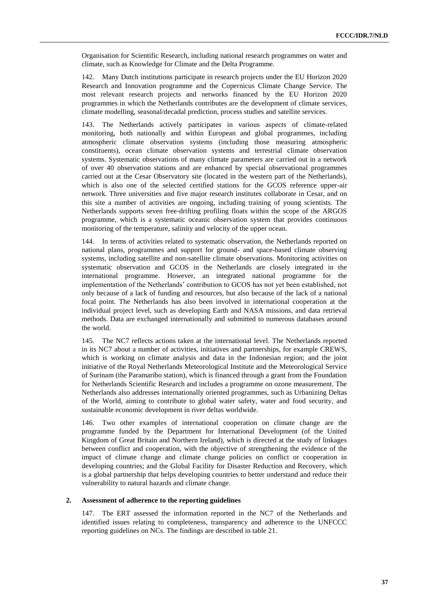Organisation for Scientific Research, including national research programmes on water and climate, such as Knowledge for Climate and the Delta Programme.

142. Many Dutch institutions participate in research projects under the EU Horizon 2020 Research and Innovation programme and the Copernicus Climate Change Service. The most relevant research projects and networks financed by the EU Horizon 2020 programmes in which the Netherlands contributes are the development of climate services, climate modelling, seasonal/decadal prediction, process studies and satellite services.

143. The Netherlands actively participates in various aspects of climate-related monitoring, both nationally and within European and global programmes, including atmospheric climate observation systems (including those measuring atmospheric constituents), ocean climate observation systems and terrestrial climate observation systems. Systematic observations of many climate parameters are carried out in a network of over 40 observation stations and are enhanced by special observational programmes carried out at the Cesar Observatory site (located in the western part of the Netherlands), which is also one of the selected certified stations for the GCOS reference upper-air network. Three universities and five major research institutes collaborate in Cesar, and on this site a number of activities are ongoing, including training of young scientists. The Netherlands supports seven free-drifting profiling floats within the scope of the ARGOS programme, which is a systematic oceanic observation system that provides continuous monitoring of the temperature, salinity and velocity of the upper ocean.

144. In terms of activities related to systematic observation, the Netherlands reported on national plans, programmes and support for ground- and space-based climate observing systems, including satellite and non-satellite climate observations. Monitoring activities on systematic observation and GCOS in the Netherlands are closely integrated in the international programme. However, an integrated national programme for the implementation of the Netherlands' contribution to GCOS has not yet been established, not only because of a lack of funding and resources, but also because of the lack of a national focal point. The Netherlands has also been involved in international cooperation at the individual project level, such as developing Earth and NASA missions, and data retrieval methods. Data are exchanged internationally and submitted to numerous databases around the world.

145. The NC7 reflects actions taken at the international level. The Netherlands reported in its NC7 about a number of activities, initiatives and partnerships, for example CREWS, which is working on climate analysis and data in the Indonesian region; and the joint initiative of the Royal Netherlands Meteorological Institute and the Meteorological Service of Surinam (the Paramaribo station), which is financed through a grant from the Foundation for Netherlands Scientific Research and includes a programme on ozone measurement. The Netherlands also addresses internationally oriented programmes, such as Urbanizing Deltas of the World, aiming to contribute to global water safety, water and food security, and sustainable economic development in river deltas worldwide.

146. Two other examples of international cooperation on climate change are the programme funded by the Department for International Development (of the United Kingdom of Great Britain and Northern Ireland), which is directed at the study of linkages between conflict and cooperation, with the objective of strengthening the evidence of the impact of climate change and climate change policies on conflict or cooperation in developing countries; and the Global Facility for Disaster Reduction and Recovery, which is a global partnership that helps developing countries to better understand and reduce their vulnerability to natural hazards and climate change.

#### **2. Assessment of adherence to the reporting guidelines**

147. The ERT assessed the information reported in the NC7 of the Netherlands and identified issues relating to completeness, transparency and adherence to the UNFCCC reporting guidelines on NCs. The findings are described in table 21.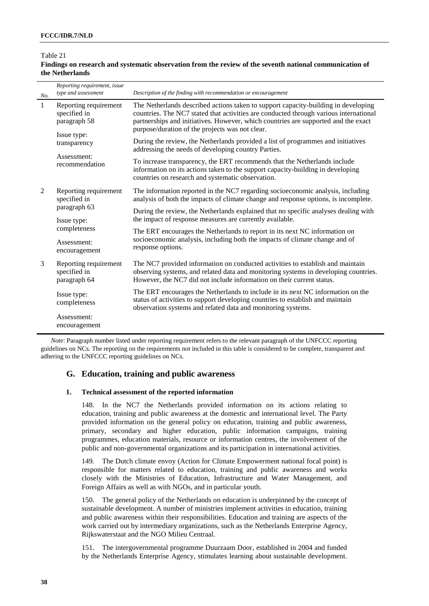#### *No. Reporting requirement, issue type and assessment Description of the finding with recommendation or encouragement* 1 Reporting requirement specified in paragraph 58 The Netherlands described actions taken to support capacity-building in developing countries. The NC7 stated that activities are conducted through various international partnerships and initiatives. However, which countries are supported and the exact purpose/duration of the projects was not clear. During the review, the Netherlands provided a list of programmes and initiatives addressing the needs of developing country Parties. To increase transparency, the ERT recommends that the Netherlands include information on its actions taken to the support capacity-building in developing countries on research and systematic observation. Issue type: transparency Assessment: recommendation 2 Reporting requirement specified in paragraph 63 The information reported in the NC7 regarding socioeconomic analysis, including analysis of both the impacts of climate change and response options, is incomplete. During the review, the Netherlands explained that no specific analyses dealing with the impact of response measures are currently available. The ERT encourages the Netherlands to report in its next NC information on socioeconomic analysis, including both the impacts of climate change and of response options. Issue type: completeness Assessment: encouragement 3 Reporting requirement specified in paragraph 64 The NC7 provided information on conducted activities to establish and maintain observing systems, and related data and monitoring systems in developing countries. However, the NC7 did not include information on their current status. The ERT encourages the Netherlands to include in its next NC information on the status of activities to support developing countries to establish and maintain observation systems and related data and monitoring systems. Issue type: completeness Assessment: encouragement

## Table 21

## **Findings on research and systematic observation from the review of the seventh national communication of the Netherlands**

*Note*: Paragraph number listed under reporting requirement refers to the relevant paragraph of the UNFCCC reporting guidelines on NCs. The reporting on the requirements not included in this table is considered to be complete, transparent and adhering to the UNFCCC reporting guidelines on NCs.

## **G. Education, training and public awareness**

## **1. Technical assessment of the reported information**

148. In the NC7 the Netherlands provided information on its actions relating to education, training and public awareness at the domestic and international level. The Party provided information on the general policy on education, training and public awareness, primary, secondary and higher education, public information campaigns, training programmes, education materials, resource or information centres, the involvement of the public and non-governmental organizations and its participation in international activities.

149. The Dutch climate envoy (Action for Climate Empowerment national focal point) is responsible for matters related to education, training and public awareness and works closely with the Ministries of Education, Infrastructure and Water Management, and Foreign Affairs as well as with NGOs, and in particular youth.

150. The general policy of the Netherlands on education is underpinned by the concept of sustainable development. A number of ministries implement activities in education, training and public awareness within their responsibilities. Education and training are aspects of the work carried out by intermediary organizations, such as the Netherlands Enterprise Agency, Rijkswaterstaat and the NGO Milieu Centraal.

151. The intergovernmental programme Duurzaam Door, established in 2004 and funded by the Netherlands Enterprise Agency, stimulates learning about sustainable development.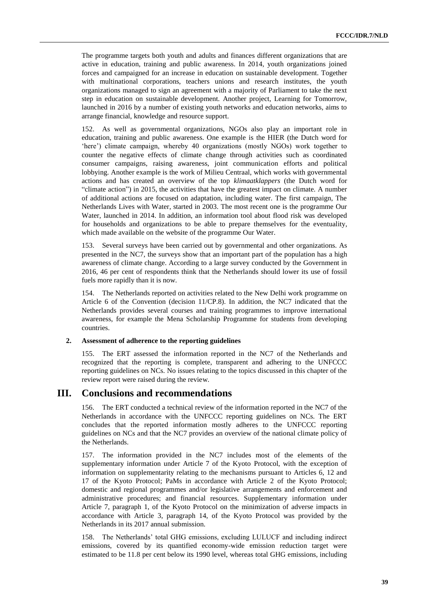The programme targets both youth and adults and finances different organizations that are active in education, training and public awareness. In 2014, youth organizations joined forces and campaigned for an increase in education on sustainable development. Together with multinational corporations, teachers unions and research institutes, the youth organizations managed to sign an agreement with a majority of Parliament to take the next step in education on sustainable development. Another project, Learning for Tomorrow, launched in 2016 by a number of existing youth networks and education networks, aims to arrange financial, knowledge and resource support.

152. As well as governmental organizations, NGOs also play an important role in education, training and public awareness. One example is the HIER (the Dutch word for 'here') climate campaign, whereby 40 organizations (mostly NGOs) work together to counter the negative effects of climate change through activities such as coordinated consumer campaigns, raising awareness, joint communication efforts and political lobbying. Another example is the work of Milieu Centraal, which works with governmental actions and has created an overview of the top *klimaatklappers* (the Dutch word for "climate action") in 2015, the activities that have the greatest impact on climate. A number of additional actions are focused on adaptation, including water. The first campaign, The Netherlands Lives with Water, started in 2003. The most recent one is the programme Our Water, launched in 2014. In addition, an information tool about flood risk was developed for households and organizations to be able to prepare themselves for the eventuality, which made available on the website of the programme Our Water.

153. Several surveys have been carried out by governmental and other organizations. As presented in the NC7, the surveys show that an important part of the population has a high awareness of climate change. According to a large survey conducted by the Government in 2016, 46 per cent of respondents think that the Netherlands should lower its use of fossil fuels more rapidly than it is now.

154. The Netherlands reported on activities related to the New Delhi work programme on Article 6 of the Convention (decision 11/CP.8). In addition, the NC7 indicated that the Netherlands provides several courses and training programmes to improve international awareness, for example the Mena Scholarship Programme for students from developing countries.

#### **2. Assessment of adherence to the reporting guidelines**

155. The ERT assessed the information reported in the NC7 of the Netherlands and recognized that the reporting is complete, transparent and adhering to the UNFCCC reporting guidelines on NCs. No issues relating to the topics discussed in this chapter of the review report were raised during the review.

## **III. Conclusions and recommendations**

156. The ERT conducted a technical review of the information reported in the NC7 of the Netherlands in accordance with the UNFCCC reporting guidelines on NCs. The ERT concludes that the reported information mostly adheres to the UNFCCC reporting guidelines on NCs and that the NC7 provides an overview of the national climate policy of the Netherlands.

157. The information provided in the NC7 includes most of the elements of the supplementary information under Article 7 of the Kyoto Protocol, with the exception of information on supplementarity relating to the mechanisms pursuant to Articles 6, 12 and 17 of the Kyoto Protocol; PaMs in accordance with Article 2 of the Kyoto Protocol; domestic and regional programmes and/or legislative arrangements and enforcement and administrative procedures; and financial resources. Supplementary information under Article 7, paragraph 1, of the Kyoto Protocol on the minimization of adverse impacts in accordance with Article 3, paragraph 14, of the Kyoto Protocol was provided by the Netherlands in its 2017 annual submission.

158. The Netherlands' total GHG emissions, excluding LULUCF and including indirect emissions, covered by its quantified economy-wide emission reduction target were estimated to be 11.8 per cent below its 1990 level, whereas total GHG emissions, including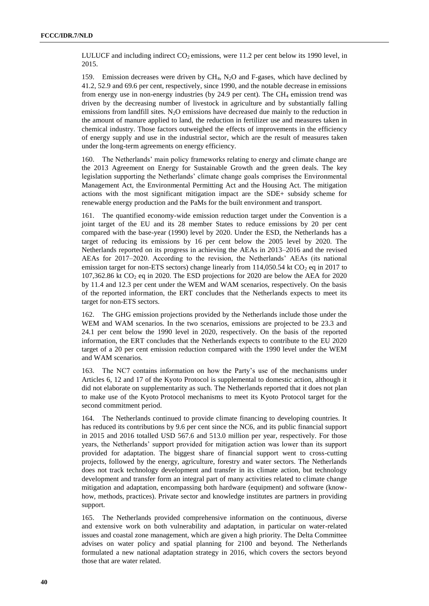LULUCF and including indirect  $CO<sub>2</sub>$  emissions, were 11.2 per cent below its 1990 level, in 2015.

159. Emission decreases were driven by CH4, N2O and F-gases, which have declined by 41.2, 52.9 and 69.6 per cent, respectively, since 1990, and the notable decrease in emissions from energy use in non-energy industries (by  $24.9$  per cent). The CH<sub>4</sub> emission trend was driven by the decreasing number of livestock in agriculture and by substantially falling emissions from landfill sites.  $N_2O$  emissions have decreased due mainly to the reduction in the amount of manure applied to land, the reduction in fertilizer use and measures taken in chemical industry. Those factors outweighed the effects of improvements in the efficiency of energy supply and use in the industrial sector, which are the result of measures taken under the long-term agreements on energy efficiency.

160. The Netherlands' main policy frameworks relating to energy and climate change are the 2013 Agreement on Energy for Sustainable Growth and the green deals. The key legislation supporting the Netherlands' climate change goals comprises the Environmental Management Act, the Environmental Permitting Act and the Housing Act. The mitigation actions with the most significant mitigation impact are the SDE+ subsidy scheme for renewable energy production and the PaMs for the built environment and transport.

161. The quantified economy-wide emission reduction target under the Convention is a joint target of the EU and its 28 member States to reduce emissions by 20 per cent compared with the base-year (1990) level by 2020. Under the ESD, the Netherlands has a target of reducing its emissions by 16 per cent below the 2005 level by 2020. The Netherlands reported on its progress in achieving the AEAs in 2013–2016 and the revised AEAs for 2017–2020. According to the revision, the Netherlands' AEAs (its national emission target for non-ETS sectors) change linearly from  $114,050.54$  kt CO<sub>2</sub> eq in 2017 to 107,362.86 kt  $CO<sub>2</sub>$  eq in 2020. The ESD projections for 2020 are below the AEA for 2020 by 11.4 and 12.3 per cent under the WEM and WAM scenarios, respectively. On the basis of the reported information, the ERT concludes that the Netherlands expects to meet its target for non-ETS sectors.

162. The GHG emission projections provided by the Netherlands include those under the WEM and WAM scenarios. In the two scenarios, emissions are projected to be 23.3 and 24.1 per cent below the 1990 level in 2020, respectively. On the basis of the reported information, the ERT concludes that the Netherlands expects to contribute to the EU 2020 target of a 20 per cent emission reduction compared with the 1990 level under the WEM and WAM scenarios.

163. The NC7 contains information on how the Party's use of the mechanisms under Articles 6, 12 and 17 of the Kyoto Protocol is supplemental to domestic action, although it did not elaborate on supplementarity as such. The Netherlands reported that it does not plan to make use of the Kyoto Protocol mechanisms to meet its Kyoto Protocol target for the second commitment period.

164. The Netherlands continued to provide climate financing to developing countries. It has reduced its contributions by 9.6 per cent since the NC6, and its public financial support in 2015 and 2016 totalled USD 567.6 and 513.0 million per year, respectively. For those years, the Netherlands' support provided for mitigation action was lower than its support provided for adaptation. The biggest share of financial support went to cross-cutting projects, followed by the energy, agriculture, forestry and water sectors. The Netherlands does not track technology development and transfer in its climate action, but technology development and transfer form an integral part of many activities related to climate change mitigation and adaptation, encompassing both hardware (equipment) and software (knowhow, methods, practices). Private sector and knowledge institutes are partners in providing support.

165. The Netherlands provided comprehensive information on the continuous, diverse and extensive work on both vulnerability and adaptation, in particular on water-related issues and coastal zone management, which are given a high priority. The Delta Committee advises on water policy and spatial planning for 2100 and beyond. The Netherlands formulated a new national adaptation strategy in 2016, which covers the sectors beyond those that are water related.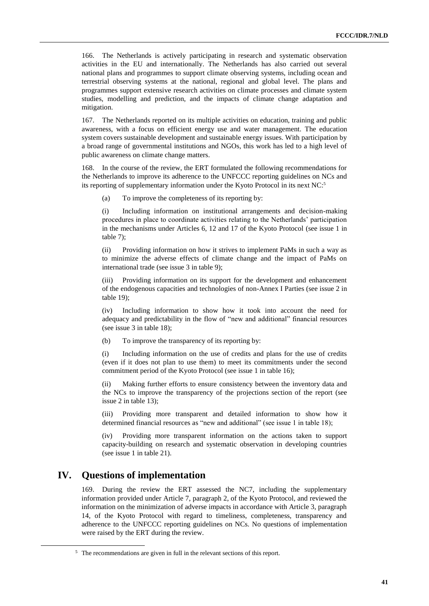166. The Netherlands is actively participating in research and systematic observation activities in the EU and internationally. The Netherlands has also carried out several national plans and programmes to support climate observing systems, including ocean and terrestrial observing systems at the national, regional and global level. The plans and programmes support extensive research activities on climate processes and climate system studies, modelling and prediction, and the impacts of climate change adaptation and mitigation.

167. The Netherlands reported on its multiple activities on education, training and public awareness, with a focus on efficient energy use and water management. The education system covers sustainable development and sustainable energy issues. With participation by a broad range of governmental institutions and NGOs, this work has led to a high level of public awareness on climate change matters.

168. In the course of the review, the ERT formulated the following recommendations for the Netherlands to improve its adherence to the UNFCCC reporting guidelines on NCs and its reporting of supplementary information under the Kyoto Protocol in its next NC: 5

(a) To improve the completeness of its reporting by:

(i) Including information on institutional arrangements and decision-making procedures in place to coordinate activities relating to the Netherlands' participation in the mechanisms under Articles 6, 12 and 17 of the Kyoto Protocol (see issue 1 in table 7);

(ii) Providing information on how it strives to implement PaMs in such a way as to minimize the adverse effects of climate change and the impact of PaMs on international trade (see issue 3 in table 9);

(iii) Providing information on its support for the development and enhancement of the endogenous capacities and technologies of non-Annex I Parties (see issue 2 in table 19);

(iv) Including information to show how it took into account the need for adequacy and predictability in the flow of "new and additional" financial resources (see issue 3 in table 18);

(b) To improve the transparency of its reporting by:

(i) Including information on the use of credits and plans for the use of credits (even if it does not plan to use them) to meet its commitments under the second commitment period of the Kyoto Protocol (see issue 1 in table 16);

(ii) Making further efforts to ensure consistency between the inventory data and the NCs to improve the transparency of the projections section of the report (see issue 2 in table 13);

(iii) Providing more transparent and detailed information to show how it determined financial resources as "new and additional" (see issue 1 in table 18);

(iv) Providing more transparent information on the actions taken to support capacity-building on research and systematic observation in developing countries (see issue 1 in table 21).

## **IV. Questions of implementation**

 $\overline{a}$ 

169. During the review the ERT assessed the NC7, including the supplementary information provided under Article 7, paragraph 2, of the Kyoto Protocol, and reviewed the information on the minimization of adverse impacts in accordance with Article 3, paragraph 14, of the Kyoto Protocol with regard to timeliness, completeness, transparency and adherence to the UNFCCC reporting guidelines on NCs. No questions of implementation were raised by the ERT during the review.

<sup>&</sup>lt;sup>5</sup> The recommendations are given in full in the relevant sections of this report.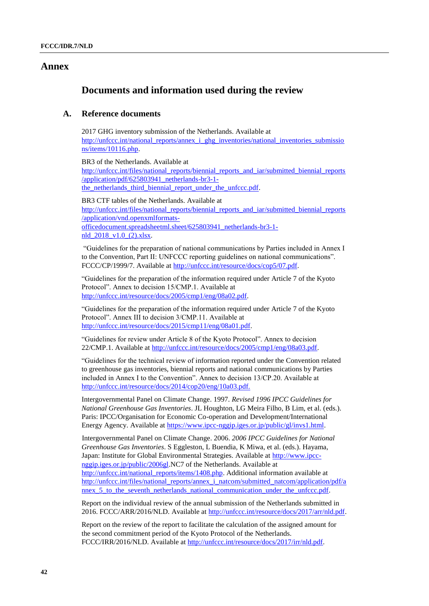## **Annex**

## **Documents and information used during the review**

## **A. Reference documents**

2017 GHG inventory submission of the Netherlands. Available at [http://unfccc.int/national\\_reports/annex\\_i\\_ghg\\_inventories/national\\_inventories\\_submissio](http://unfccc.int/national_reports/annex_i_ghg_inventories/national_inventories_submissions/items/10116.php) [ns/items/10116.php.](http://unfccc.int/national_reports/annex_i_ghg_inventories/national_inventories_submissions/items/10116.php)

BR3 of the Netherlands. Available at [http://unfccc.int/files/national\\_reports/biennial\\_reports\\_and\\_iar/submitted\\_biennial\\_reports](http://unfccc.int/files/national_reports/biennial_reports_and_iar/submitted_biennial_reports/application/pdf/625803941_netherlands-br3-1-the_netherlands_third_biennial_report_under_the_unfccc.pdf) [/application/pdf/625803941\\_netherlands-br3-1](http://unfccc.int/files/national_reports/biennial_reports_and_iar/submitted_biennial_reports/application/pdf/625803941_netherlands-br3-1-the_netherlands_third_biennial_report_under_the_unfccc.pdf) the netherlands third biennial report under the unfccc.pdf.

BR3 CTF tables of the Netherlands. Available at [http://unfccc.int/files/national\\_reports/biennial\\_reports\\_and\\_iar/submitted\\_biennial\\_reports](http://unfccc.int/files/national_reports/biennial_reports_and_iar/submitted_biennial_reports/application/vnd.openxmlformats-officedocument.spreadsheetml.sheet/625803941_netherlands-br3-1-nld_2018_v1.0_(2).xlsx) [/application/vnd.openxmlformats](http://unfccc.int/files/national_reports/biennial_reports_and_iar/submitted_biennial_reports/application/vnd.openxmlformats-officedocument.spreadsheetml.sheet/625803941_netherlands-br3-1-nld_2018_v1.0_(2).xlsx)[officedocument.spreadsheetml.sheet/625803941\\_netherlands-br3-1](http://unfccc.int/files/national_reports/biennial_reports_and_iar/submitted_biennial_reports/application/vnd.openxmlformats-officedocument.spreadsheetml.sheet/625803941_netherlands-br3-1-nld_2018_v1.0_(2).xlsx) [nld\\_2018\\_v1.0\\_\(2\).xlsx.](http://unfccc.int/files/national_reports/biennial_reports_and_iar/submitted_biennial_reports/application/vnd.openxmlformats-officedocument.spreadsheetml.sheet/625803941_netherlands-br3-1-nld_2018_v1.0_(2).xlsx) 

"Guidelines for the preparation of national communications by Parties included in Annex I to the Convention, Part II: UNFCCC reporting guidelines on national communications". FCCC/CP/1999/7. Available at [http://unfccc.int/resource/docs/cop5/07.pdf.](http://unfccc.int/resource/docs/cop5/07.pdf)

"Guidelines for the preparation of the information required under Article 7 of the Kyoto Protocol". Annex to decision 15/CMP.1. Available at [http://unfccc.int/resource/docs/2005/cmp1/eng/08a02.pdf.](http://unfccc.int/resource/docs/2005/cmp1/eng/08a02.pdf)

"Guidelines for the preparation of the information required under Article 7 of the Kyoto Protocol". Annex III to decision 3/CMP.11. Available at [http://unfccc.int/resource/docs/2015/cmp11/eng/08a01.pdf.](http://unfccc.int/resource/docs/2015/cmp11/eng/08a01.pdf)

"Guidelines for review under Article 8 of the Kyoto Protocol". Annex to decision 22/CMP.1. Available at [http://unfccc.int/resource/docs/2005/cmp1/eng/08a03.pdf.](http://unfccc.int/resource/docs/2005/cmp1/eng/08a03.pdf)

"Guidelines for the technical review of information reported under the Convention related to greenhouse gas inventories, biennial reports and national communications by Parties included in Annex I to the Convention". Annex to decision 13/CP.20. Available at <http://unfccc.int/resource/docs/2014/cop20/eng/10a03.pdf.>

Intergovernmental Panel on Climate Change. 1997. *Revised 1996 IPCC Guidelines for National Greenhouse Gas Inventories*. JL Houghton, LG Meira Filho, B Lim, et al. (eds.). Paris: IPCC/Organisation for Economic Co-operation and Development/International Energy Agency. Available at [https://www.ipcc-nggip.iges.or.jp/public/gl/invs1.html.](https://www.ipcc-nggip.iges.or.jp/public/gl/invs1.html)

Intergovernmental Panel on Climate Change. 2006. *2006 IPCC Guidelines for National Greenhouse Gas Inventories*. S Eggleston, L Buendia, K Miwa, et al. (eds.). Hayama, Japan: Institute for Global Environmental Strategies. Available at [http://www.ipcc](http://www.ipcc-nggip.iges.or.jp/public/2006gl)[nggip.iges.or.jp/public/2006gl.](http://www.ipcc-nggip.iges.or.jp/public/2006gl)NC7 of the Netherlands. Available at [http://unfccc.int/national\\_reports/items/1408.php.](http://unfccc.int/national_reports/items/1408.php) Additional information available at [http://unfccc.int/files/national\\_reports/annex\\_i\\_natcom/submitted\\_natcom/application/pdf/a](http://unfccc.int/files/national_reports/annex_i_natcom/submitted_natcom/application/pdf/annex_5_to_the_seventh_netherlands_national_communication_under_the_unfccc.pdf) nnex\_5\_to\_the\_seventh\_netherlands\_national\_communication\_under\_the\_unfccc.pdf.

Report on the individual review of the annual submission of the Netherlands submitted in 2016. FCCC/ARR/2016/NLD. Available at [http://unfccc.int/resource/docs/2017/arr/nld.pdf.](http://unfccc.int/resource/docs/2017/arr/nld.pdf)

Report on the review of the report to facilitate the calculation of the assigned amount for the second commitment period of the Kyoto Protocol of the Netherlands. FCCC/IRR/2016/NLD. Available at [http://unfccc.int/resource/docs/2017/irr/nld.pdf.](http://unfccc.int/resource/docs/2017/irr/nld.pdf)